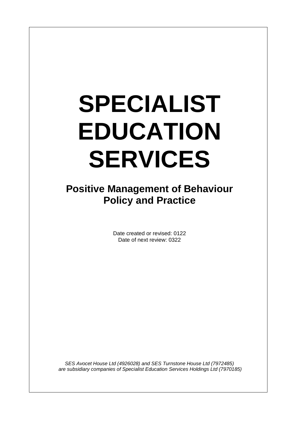# **SPECIALIST EDUCATION SERVICES**

**Positive Management of Behaviour Policy and Practice**

> Date created or revised: 0122 Date of next review: 0322

*SES Avocet House Ltd (4926028) and SES Turnstone House Ltd (7972485) are subsidiary companies of Specialist Education Services Holdings Ltd (7970185)*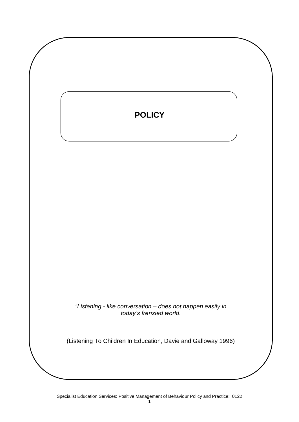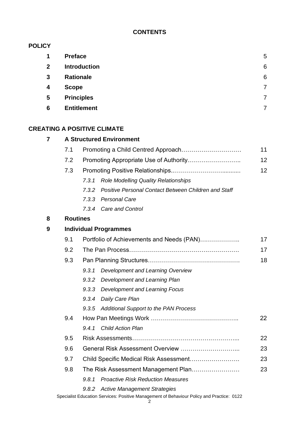# **CONTENTS**

# **POLICY**

| $\mathbf 1$             | <b>Preface</b>      | 5 |
|-------------------------|---------------------|---|
| $\overline{2}$          | <b>Introduction</b> | 6 |
| $\mathbf{3}$            | <b>Rationale</b>    | 6 |
| $\boldsymbol{4}$        | <b>Scope</b>        | 7 |
| $\overline{\mathbf{5}}$ | <b>Principles</b>   | 7 |
| 6                       | <b>Entitlement</b>  |   |

# **CREATING A POSITIVE CLIMATE**

| 7 |                 | <b>A Structured Environment</b>                               |    |  |  |  |  |
|---|-----------------|---------------------------------------------------------------|----|--|--|--|--|
|   | 7.1             |                                                               | 11 |  |  |  |  |
|   | 7.2             |                                                               | 12 |  |  |  |  |
|   | 7.3             |                                                               | 12 |  |  |  |  |
|   |                 | <b>Role Modelling Quality Relationships</b><br>7.3.1          |    |  |  |  |  |
|   |                 | Positive Personal Contact Between Children and Staff<br>7.3.2 |    |  |  |  |  |
|   |                 | 7.3.3<br><b>Personal Care</b>                                 |    |  |  |  |  |
|   |                 | <b>Care and Control</b><br>7.3.4                              |    |  |  |  |  |
| 8 | <b>Routines</b> |                                                               |    |  |  |  |  |
| 9 |                 | <b>Individual Programmes</b>                                  |    |  |  |  |  |
|   | 9.1             | Portfolio of Achievements and Needs (PAN)                     |    |  |  |  |  |
|   | 9.2             |                                                               |    |  |  |  |  |
|   | 9.3             |                                                               |    |  |  |  |  |
|   |                 | Development and Learning Overview<br>9.3.1                    |    |  |  |  |  |
|   |                 | 9.3.2<br>Development and Learning Plan                        |    |  |  |  |  |
|   |                 | 9.3.3<br><b>Development and Learning Focus</b>                |    |  |  |  |  |
|   |                 | 9.3.4<br>Daily Care Plan                                      |    |  |  |  |  |
|   |                 | Additional Support to the PAN Process<br>9.3.5                |    |  |  |  |  |
|   | 9.4             |                                                               | 22 |  |  |  |  |
|   |                 | <b>Child Action Plan</b><br>9.4.1                             |    |  |  |  |  |
|   | 9.5             |                                                               | 22 |  |  |  |  |
|   | 9.6             | 23                                                            |    |  |  |  |  |
|   | 9.7             | Child Specific Medical Risk Assessment                        | 23 |  |  |  |  |
|   | 9.8             | The Risk Assessment Management Plan                           | 23 |  |  |  |  |
|   |                 | 9.8.1<br><b>Proactive Risk Reduction Measures</b>             |    |  |  |  |  |
|   |                 | 9.8.2<br><b>Active Management Strategies</b>                  |    |  |  |  |  |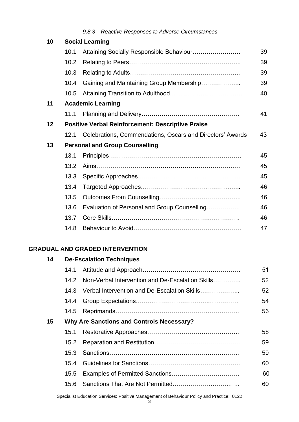| 10 | <b>Social Learning</b>                                   |                                                           |    |  |  |  |  |  |
|----|----------------------------------------------------------|-----------------------------------------------------------|----|--|--|--|--|--|
|    | 10.1                                                     |                                                           | 39 |  |  |  |  |  |
|    | 10.2                                                     |                                                           | 39 |  |  |  |  |  |
|    | 10.3                                                     |                                                           | 39 |  |  |  |  |  |
|    | 10.4                                                     | Gaining and Maintaining Group Membership                  | 39 |  |  |  |  |  |
|    | 10.5                                                     |                                                           | 40 |  |  |  |  |  |
| 11 | <b>Academic Learning</b>                                 |                                                           |    |  |  |  |  |  |
|    | 11.1                                                     |                                                           | 41 |  |  |  |  |  |
| 12 | <b>Positive Verbal Reinforcement: Descriptive Praise</b> |                                                           |    |  |  |  |  |  |
|    | 12.1                                                     | Celebrations, Commendations, Oscars and Directors' Awards | 43 |  |  |  |  |  |
| 13 | <b>Personal and Group Counselling</b>                    |                                                           |    |  |  |  |  |  |
|    | 13.1                                                     |                                                           | 45 |  |  |  |  |  |
|    | 13.2                                                     |                                                           | 45 |  |  |  |  |  |
|    | 13.3                                                     |                                                           | 45 |  |  |  |  |  |
|    | 13.4                                                     |                                                           | 46 |  |  |  |  |  |
|    | 13.5                                                     |                                                           | 46 |  |  |  |  |  |
|    | 13.6                                                     | Evaluation of Personal and Group Counselling              | 46 |  |  |  |  |  |
|    | 13.7                                                     |                                                           | 46 |  |  |  |  |  |
|    | 14.8                                                     |                                                           | 47 |  |  |  |  |  |

# **GRADUAL AND GRADED INTERVENTION**

| 14 |                | <b>De-Escalation Techniques</b>                  |    |
|----|----------------|--------------------------------------------------|----|
|    | 14.1           |                                                  | 51 |
|    | 14.2           | Non-Verbal Intervention and De-Escalation Skills | 52 |
|    | 14.3           | Verbal Intervention and De-Escalation Skills     | 52 |
|    | 14.4           |                                                  | 54 |
|    | 14.5           |                                                  | 56 |
| 15 |                | Why Are Sanctions and Controls Necessary?        |    |
|    | 15.1           |                                                  | 58 |
|    | $15.2^{\circ}$ |                                                  | 59 |
|    | 15.3           |                                                  | 59 |
|    | 15.4           |                                                  | 60 |
|    | 15.5           |                                                  | 60 |
|    | 15.6           |                                                  | 60 |
|    |                |                                                  |    |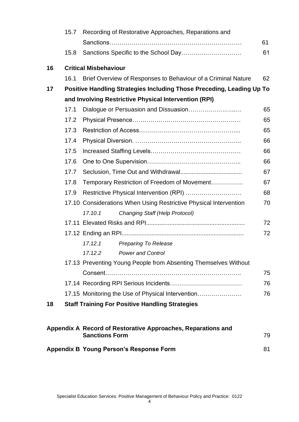|    | 15.7 | Recording of Restorative Approaches, Reparations and                                  |    |
|----|------|---------------------------------------------------------------------------------------|----|
|    |      |                                                                                       | 61 |
|    | 15.8 |                                                                                       | 61 |
| 16 |      | <b>Critical Misbehaviour</b>                                                          |    |
|    | 16.1 | Brief Overview of Responses to Behaviour of a Criminal Nature                         | 62 |
| 17 |      | Positive Handling Strategies Including Those Preceding, Leading Up To                 |    |
|    |      | and Involving Restrictive Physical Intervention (RPI)                                 |    |
|    | 17.1 |                                                                                       | 65 |
|    | 17.2 |                                                                                       | 65 |
|    | 17.3 |                                                                                       | 65 |
|    | 17.4 |                                                                                       | 66 |
|    | 17.5 |                                                                                       | 66 |
|    | 17.6 |                                                                                       | 66 |
|    | 17.7 |                                                                                       | 67 |
|    | 17.8 | Temporary Restriction of Freedom of Movement                                          | 67 |
|    | 17.9 |                                                                                       | 68 |
|    |      | 17.10 Considerations When Using Restrictive Physical Intervention                     | 70 |
|    |      | Changing Staff (Help Protocol)<br>17.10.1                                             |    |
|    |      |                                                                                       | 72 |
|    |      |                                                                                       | 72 |
|    |      | 17.12.1<br><b>Preparing To Release</b>                                                |    |
|    |      | 17.12.2<br><b>Power and Control</b>                                                   |    |
|    |      | 17.13 Preventing Young People from Absenting Themselves Without                       |    |
|    |      |                                                                                       | 75 |
|    |      |                                                                                       | 76 |
|    |      | 17.15 Monitoring the Use of Physical Intervention                                     | 76 |
| 18 |      | <b>Staff Training For Positive Handling Strategies</b>                                |    |
|    |      |                                                                                       |    |
|    |      | Appendix A Record of Restorative Approaches, Reparations and<br><b>Sanctions Form</b> | 79 |
|    |      | <b>Appendix B Young Person's Response Form</b>                                        | 81 |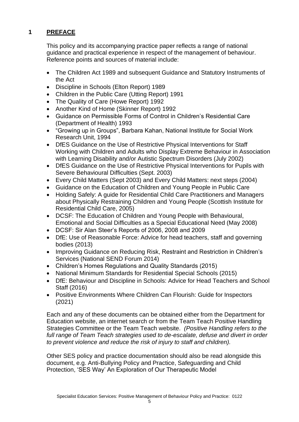# **1 PREFACE**

This policy and its accompanying practice paper reflects a range of national guidance and practical experience in respect of the management of behaviour. Reference points and sources of material include:

- The Children Act 1989 and subsequent Guidance and Statutory Instruments of the Act
- Discipline in Schools (Elton Report) 1989
- Children in the Public Care (Utting Report) 1991
- The Quality of Care (Howe Report) 1992
- Another Kind of Home (Skinner Report) 1992
- Guidance on Permissible Forms of Control in Children's Residential Care (Department of Health) 1993
- "Growing up in Groups", Barbara Kahan, National Institute for Social Work Research Unit, 1994
- DfES Guidance on the Use of Restrictive Physical Interventions for Staff Working with Children and Adults who Display Extreme Behaviour in Association with Learning Disability and/or Autistic Spectrum Disorders (July 2002)
- DfES Guidance on the Use of Restrictive Physical Interventions for Pupils with Severe Behavioural Difficulties (Sept. 2003)
- Every Child Matters (Sept 2003) and Every Child Matters: next steps (2004)
- Guidance on the Education of Children and Young People in Public Care
- Holding Safely: A guide for Residential Child Care Practitioners and Managers about Physically Restraining Children and Young People (Scottish Institute for Residential Child Care, 2005)
- DCSF: The Education of Children and Young People with Behavioural, Emotional and Social Difficulties as a Special Educational Need (May 2008)
- DCSF: Sir Alan Steer's Reports of 2006, 2008 and 2009
- DfE: Use of Reasonable Force: Advice for head teachers, staff and governing bodies (2013)
- Improving Guidance on Reducing Risk, Restraint and Restriction in Children's Services (National SEND Forum 2014)
- Children's Homes Regulations and Quality Standards (2015)
- National Minimum Standards for Residential Special Schools (2015)
- DfE: Behaviour and Discipline in Schools: Advice for Head Teachers and School Staff (2016)
- Positive Environments Where Children Can Flourish: Guide for Inspectors (2021)

Each and any of these documents can be obtained either from the Department for Education website, an internet search or from the Team Teach Positive Handling Strategies Committee or the Team Teach website. *(Positive Handling refers to the full range of Team Teach strategies used to de-escalate, defuse and divert in order to prevent violence and reduce the risk of injury to staff and children).*

Other SES policy and practice documentation should also be read alongside this document, e.g. Anti-Bullying Policy and Practice, Safeguarding and Child Protection, 'SES Way' An Exploration of Our Therapeutic Model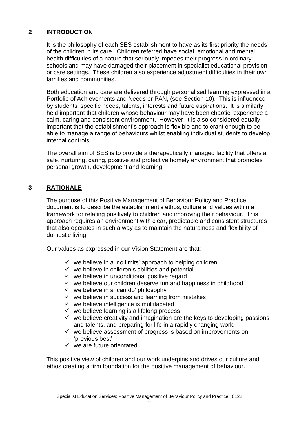# **2 INTRODUCTION**

It is the philosophy of each SES establishment to have as its first priority the needs of the children in its care. Children referred have social, emotional and mental health difficulties of a nature that seriously impedes their progress in ordinary schools and may have damaged their placement in specialist educational provision or care settings. These children also experience adjustment difficulties in their own families and communities.

Both education and care are delivered through personalised learning expressed in a Portfolio of Achievements and Needs or PAN, (see Section 10). This is influenced by students' specific needs, talents, interests and future aspirations. It is similarly held important that children whose behaviour may have been chaotic, experience a calm, caring and consistent environment. However, it is also considered equally important that the establishment's approach is flexible and tolerant enough to be able to manage a range of behaviours whilst enabling individual students to develop internal controls.

The overall aim of SES is to provide a therapeutically managed facility that offers a safe, nurturing, caring, positive and protective homely environment that promotes personal growth, development and learning.

# **3 RATIONALE**

The purpose of this Positive Management of Behaviour Policy and Practice document is to describe the establishment's ethos, culture and values within a framework for relating positively to children and improving their behaviour. This approach requires an environment with clear, predictable and consistent structures that also operates in such a way as to maintain the naturalness and flexibility of domestic living.

Our values as expressed in our Vision Statement are that:

- $\checkmark$  we believe in a 'no limits' approach to helping children
- $\checkmark$  we believe in children's abilities and potential
- $\checkmark$  we believe in unconditional positive regard
- $\checkmark$  we believe our children deserve fun and happiness in childhood
- $\checkmark$  we believe in a 'can do' philosophy
- $\checkmark$  we believe in success and learning from mistakes
- $\checkmark$  we believe intelligence is multifaceted
- $\checkmark$  we believe learning is a lifelong process
- $\checkmark$  we believe creativity and imagination are the keys to developing passions and talents, and preparing for life in a rapidly changing world
- $\checkmark$  we believe assessment of progress is based on improvements on 'previous best'
- $\checkmark$  we are future orientated

This positive view of children and our work underpins and drives our culture and ethos creating a firm foundation for the positive management of behaviour.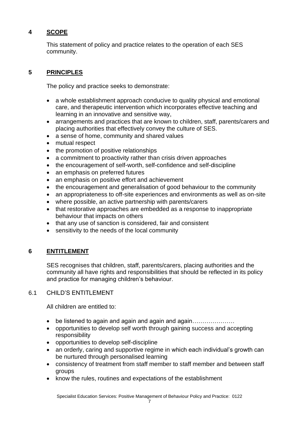# **4 SCOPE**

This statement of policy and practice relates to the operation of each SES community.

# **5 PRINCIPLES**

The policy and practice seeks to demonstrate:

- a whole establishment approach conducive to quality physical and emotional care, and therapeutic intervention which incorporates effective teaching and learning in an innovative and sensitive way,
- arrangements and practices that are known to children, staff, parents/carers and placing authorities that effectively convey the culture of SES.
- a sense of home, community and shared values
- mutual respect
- the promotion of positive relationships
- a commitment to proactivity rather than crisis driven approaches
- the encouragement of self-worth, self-confidence and self-discipline
- an emphasis on preferred futures
- an emphasis on positive effort and achievement
- the encouragement and generalisation of good behaviour to the community
- an appropriateness to off-site experiences and environments as well as on-site
- where possible, an active partnership with parents/carers
- that restorative approaches are embedded as a response to inappropriate behaviour that impacts on others
- that any use of sanction is considered, fair and consistent
- sensitivity to the needs of the local community

# **6 ENTITLEMENT**

SES recognises that children, staff, parents/carers, placing authorities and the community all have rights and responsibilities that should be reflected in its policy and practice for managing children's behaviour.

# 6.1 CHILD'S ENTITLEMENT

All children are entitled to:

- be listened to again and again and again and again…………………
- opportunities to develop self worth through gaining success and accepting responsibility
- opportunities to develop self-discipline
- an orderly, caring and supportive regime in which each individual's growth can be nurtured through personalised learning
- consistency of treatment from staff member to staff member and between staff groups
- know the rules, routines and expectations of the establishment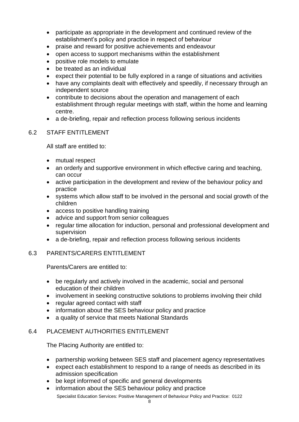- participate as appropriate in the development and continued review of the establishment's policy and practice in respect of behaviour
- praise and reward for positive achievements and endeavour
- open access to support mechanisms within the establishment
- positive role models to emulate
- be treated as an individual
- expect their potential to be fully explored in a range of situations and activities
- have any complaints dealt with effectively and speedily, if necessary through an independent source
- contribute to decisions about the operation and management of each establishment through regular meetings with staff, within the home and learning centre.
- a de-briefing, repair and reflection process following serious incidents

# 6.2 STAFF ENTITLEMENT

All staff are entitled to:

- mutual respect
- an orderly and supportive environment in which effective caring and teaching, can occur
- active participation in the development and review of the behaviour policy and practice
- systems which allow staff to be involved in the personal and social growth of the children
- access to positive handling training
- advice and support from senior colleagues
- regular time allocation for induction, personal and professional development and supervision
- a de-briefing, repair and reflection process following serious incidents

#### 6.3 PARENTS/CARERS ENTITLEMENT

Parents/Carers are entitled to:

- be regularly and actively involved in the academic, social and personal education of their children
- involvement in seeking constructive solutions to problems involving their child
- regular agreed contact with staff
- information about the SES behaviour policy and practice
- a quality of service that meets National Standards

#### 6.4 PLACEMENT AUTHORITIES ENTITLEMENT

The Placing Authority are entitled to:

- partnership working between SES staff and placement agency representatives
- expect each establishment to respond to a range of needs as described in its admission specification
- be kept informed of specific and general developments
- Specialist Education Services: Positive Management of Behaviour Policy and Practice: 0122 information about the SES behaviour policy and practice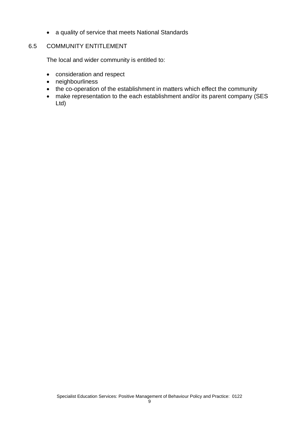• a quality of service that meets National Standards

# 6.5 COMMUNITY ENTITLEMENT

The local and wider community is entitled to:

- consideration and respect
- neighbourliness
- the co-operation of the establishment in matters which effect the community
- make representation to the each establishment and/or its parent company (SES Ltd)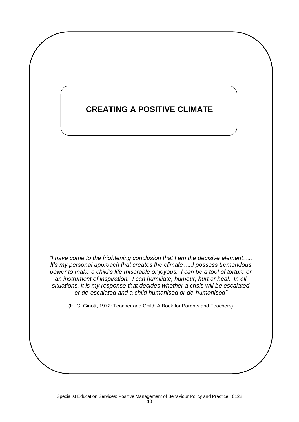# **CREATING A POSITIVE CLIMATE**

*"I have come to the frightening conclusion that I am the decisive element….. It's my personal approach that creates the climate…..I possess tremendous power to make a child's life miserable or joyous. I can be a tool of torture or an instrument of inspiration. I can humiliate, humour, hurt or heal. In all situations, it is my response that decides whether a crisis will be escalated or de-escalated and a child humanised or de-humanised"*

(H. G. Ginott, 1972: Teacher and Child: A Book for Parents and Teachers)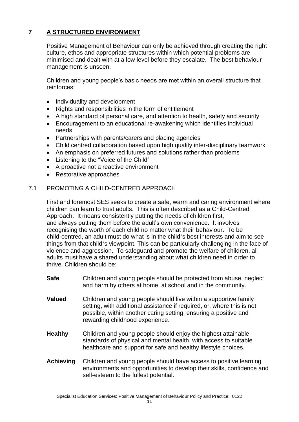# **7 A STRUCTURED ENVIRONMENT**

Positive Management of Behaviour can only be achieved through creating the right culture, ethos and appropriate structures within which potential problems are minimised and dealt with at a low level before they escalate. The best behaviour management is unseen.

Children and young people's basic needs are met within an overall structure that reinforces:

- Individuality and development
- Rights and responsibilities in the form of entitlement
- A high standard of personal care, and attention to health, safety and security
- Encouragement to an educational re-awakening which identifies individual needs
- Partnerships with parents/carers and placing agencies
- Child centred collaboration based upon high quality inter-disciplinary teamwork
- An emphasis on preferred futures and solutions rather than problems
- Listening to the "Voice of the Child"
- A proactive not a reactive environment
- Restorative approaches

# 7.1 PROMOTING A CHILD-CENTRED APPROACH

First and foremost SES seeks to create a safe, warm and caring environment where children can learn to trust adults. This is often described as a Child-Centred Approach. It means consistently putting the needs of children first, and always putting them before the adult's own convenience. It involves recognising the worth of each child no matter what their behaviour. To be child-centred, an adult must do what is in the child's best interests and aim to see things from that child's viewpoint. This can be particularly challenging in the face of violence and aggression. To safeguard and promote the welfare of children, all adults must have a shared understanding about what children need in order to thrive. Children should be:

- **Safe** Children and young people should be protected from abuse, neglect and harm by others at home, at school and in the community.
- **Valued** Children and young people should live within a supportive family setting, with additional assistance if required, or, where this is not possible, within another caring setting, ensuring a positive and rewarding childhood experience.
- **Healthy** Children and young people should enjoy the highest attainable standards of physical and mental health, with access to suitable healthcare and support for safe and healthy lifestyle choices.
- **Achieving** Children and young people should have access to positive learning environments and opportunities to develop their skills, confidence and self-esteem to the fullest potential.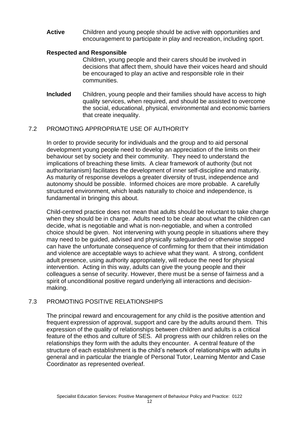**Active** Children and young people should be active with opportunities and encouragement to participate in play and recreation, including sport.

#### **Respected and Responsible**

Children, young people and their carers should be involved in decisions that affect them, should have their voices heard and should be encouraged to play an active and responsible role in their communities.

**Included** Children, young people and their families should have access to high quality services, when required, and should be assisted to overcome the social, educational, physical, environmental and economic barriers that create inequality.

#### 7.2 PROMOTING APPROPRIATE USE OF AUTHORITY

In order to provide security for individuals and the group and to aid personal development young people need to develop an appreciation of the limits on their behaviour set by society and their community. They need to understand the implications of breaching these limits. A clear framework of authority (but not authoritarianism) facilitates the development of inner self-discipline and maturity. As maturity of response develops a greater diversity of trust, independence and autonomy should be possible. Informed choices are more probable. A carefully structured environment, which leads naturally to choice and independence, is fundamental in bringing this about.

Child-centred practice does not mean that adults should be reluctant to take charge when they should be in charge. Adults need to be clear about what the children can decide, what is negotiable and what is non-negotiable, and when a controlled choice should be given. Not intervening with young people in situations where they may need to be guided, advised and physically safeguarded or otherwise stopped can have the unfortunate consequence of confirming for them that their intimidation and violence are acceptable ways to achieve what they want. A strong, confident adult presence, using authority appropriately, will reduce the need for physical intervention. Acting in this way, adults can give the young people and their colleagues a sense of security. However, there must be a sense of fairness and a spirit of unconditional positive regard underlying all interactions and decisionmaking.

#### 7.3 PROMOTING POSITIVE RELATIONSHIPS

The principal reward and encouragement for any child is the positive attention and frequent expression of approval, support and care by the adults around them. This expression of the quality of relationships between children and adults is a critical feature of the ethos and culture of SES. All progress with our children relies on the relationships they form with the adults they encounter. A central feature of the structure of each establishment is the child's network of relationships with adults in general and in particular the triangle of Personal Tutor, Learning Mentor and Case Coordinator as represented overleaf.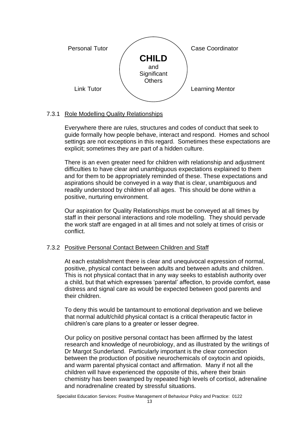

# 7.3.1 Role Modelling Quality Relationships

Everywhere there are rules, structures and codes of conduct that seek to guide formally how people behave, interact and respond. Homes and school settings are not exceptions in this regard. Sometimes these expectations are explicit; sometimes they are part of a hidden culture.

There is an even greater need for children with relationship and adjustment difficulties to have clear and unambiguous expectations explained to them and for them to be appropriately reminded of these. These expectations and aspirations should be conveyed in a way that is clear, unambiguous and readily understood by children of all ages. This should be done within a positive, nurturing environment.

Our aspiration for Quality Relationships must be conveyed at all times by staff in their personal interactions and role modelling. They should pervade the work staff are engaged in at all times and not solely at times of crisis or conflict.

# 7.3.2 Positive Personal Contact Between Children and Staff

At each establishment there is clear and unequivocal expression of normal, positive, physical contact between adults and between adults and children. This is not physical contact that in any way seeks to establish authority over a child, but that which expresses 'parental' affection, to provide comfort, ease distress and signal care as would be expected between good parents and their children.

To deny this would be tantamount to emotional deprivation and we believe that normal adult/child physical contact is a critical therapeutic factor in children's care plans to a greater or lesser degree.

Our policy on positive personal contact has been affirmed by the latest research and knowledge of neurobiology, and as illustrated by the writings of Dr Margot Sunderland. Particularly important is the clear connection between the production of positive neurochemicals of oxytocin and opioids, and warm parental physical contact and affirmation. Many if not all the children will have experienced the opposite of this, where their brain chemistry has been swamped by repeated high levels of cortisol, adrenaline and noradrenaline created by stressful situations.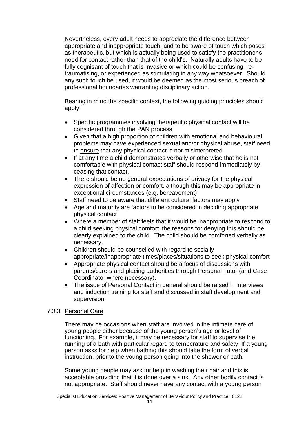Nevertheless, every adult needs to appreciate the difference between appropriate and inappropriate touch, and to be aware of touch which poses as therapeutic, but which is actually being used to satisfy the practitioner's need for contact rather than that of the child's. Naturally adults have to be fully cognisant of touch that is invasive or which could be confusing, retraumatising, or experienced as stimulating in any way whatsoever. Should any such touch be used, it would be deemed as the most serious breach of professional boundaries warranting disciplinary action.

Bearing in mind the specific context, the following guiding principles should apply:

- Specific programmes involving therapeutic physical contact will be considered through the PAN process
- Given that a high proportion of children with emotional and behavioural problems may have experienced sexual and/or physical abuse, staff need to ensure that any physical contact is not misinterpreted.
- If at any time a child demonstrates verbally or otherwise that he is not comfortable with physical contact staff should respond immediately by ceasing that contact.
- There should be no general expectations of privacy for the physical expression of affection or comfort, although this may be appropriate in exceptional circumstances (e.g. bereavement)
- Staff need to be aware that different cultural factors may apply
- Age and maturity are factors to be considered in deciding appropriate physical contact
- Where a member of staff feels that it would be inappropriate to respond to a child seeking physical comfort, the reasons for denying this should be clearly explained to the child. The child should be comforted verbally as necessary.
- Children should be counselled with regard to socially appropriate/inappropriate times/places/situations to seek physical comfort
- Appropriate physical contact should be a focus of discussions with parents/carers and placing authorities through Personal Tutor (and Case Coordinator where necessary).
- The issue of Personal Contact in general should be raised in interviews and induction training for staff and discussed in staff development and supervision.

# 7.3.3 Personal Care

There may be occasions when staff are involved in the intimate care of young people either because of the young person's age or level of functioning. For example, it may be necessary for staff to supervise the running of a bath with particular regard to temperature and safety. If a young person asks for help when bathing this should take the form of verbal instruction, prior to the young person going into the shower or bath.

Some young people may ask for help in washing their hair and this is acceptable providing that it is done over a sink. Any other bodily contact is not appropriate. Staff should never have any contact with a young person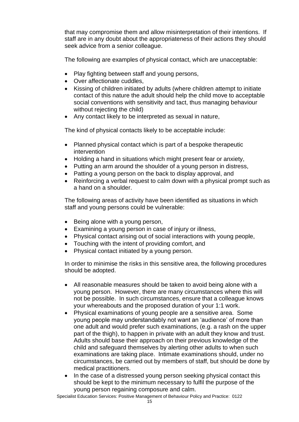that may compromise them and allow misinterpretation of their intentions. If staff are in any doubt about the appropriateness of their actions they should seek advice from a senior colleague.

The following are examples of physical contact, which are unacceptable:

- Play fighting between staff and young persons,
- Over affectionate cuddles,
- Kissing of children initiated by adults (where children attempt to initiate contact of this nature the adult should help the child move to acceptable social conventions with sensitivity and tact, thus managing behaviour without rejecting the child)
- Any contact likely to be interpreted as sexual in nature,

The kind of physical contacts likely to be acceptable include:

- Planned physical contact which is part of a bespoke therapeutic intervention
- Holding a hand in situations which might present fear or anxiety,
- Putting an arm around the shoulder of a young person in distress,
- Patting a young person on the back to display approval, and
- Reinforcing a verbal request to calm down with a physical prompt such as a hand on a shoulder.

The following areas of activity have been identified as situations in which staff and young persons could be vulnerable:

- Being alone with a young person,
- Examining a young person in case of injury or illness,
- Physical contact arising out of social interactions with young people,
- Touching with the intent of providing comfort, and
- Physical contact initiated by a young person.

In order to minimise the risks in this sensitive area, the following procedures should be adopted.

- All reasonable measures should be taken to avoid being alone with a young person. However, there are many circumstances where this will not be possible. In such circumstances, ensure that a colleague knows your whereabouts and the proposed duration of your 1:1 work.
- Physical examinations of young people are a sensitive area. Some young people may understandably not want an 'audience' of more than one adult and would prefer such examinations, (e.g. a rash on the upper part of the thigh), to happen in private with an adult they know and trust. Adults should base their approach on their previous knowledge of the child and safeguard themselves by alerting other adults to when such examinations are taking place. Intimate examinations should, under no circumstances, be carried out by members of staff, but should be done by medical practitioners.
- In the case of a distressed young person seeking physical contact this should be kept to the minimum necessary to fulfil the purpose of the young person regaining composure and calm.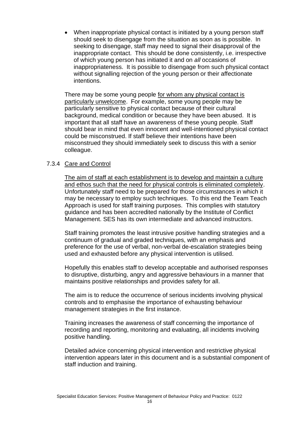• When inappropriate physical contact is initiated by a young person staff should seek to disengage from the situation as soon as is possible. In seeking to disengage, staff may need to signal their disapproval of the inappropriate contact. This should be done consistently, i.e. irrespective of which young person has initiated it and on *all* occasions of inappropriateness. It is possible to disengage from such physical contact without signalling rejection of the young person or their affectionate intentions.

There may be some young people for whom any physical contact is particularly unwelcome. For example, some young people may be particularly sensitive to physical contact because of their cultural background, medical condition or because they have been abused. It is important that all staff have an awareness of these young people. Staff should bear in mind that even innocent and well-intentioned physical contact could be misconstrued. If staff believe their intentions have been misconstrued they should immediately seek to discuss this with a senior colleague.

#### 7.3.4 Care and Control

The aim of staff at each establishment is to develop and maintain a culture and ethos such that the need for physical controls is eliminated completely. Unfortunately staff need to be prepared for those circumstances in which it may be necessary to employ such techniques. To this end the Team Teach Approach is used for staff training purposes. This complies with statutory guidance and has been accredited nationally by the Institute of Conflict Management. SES has its own intermediate and advanced instructors.

Staff training promotes the least intrusive positive handling strategies and a continuum of gradual and graded techniques, with an emphasis and preference for the use of verbal, non-verbal de-escalation strategies being used and exhausted before any physical intervention is utilised.

Hopefully this enables staff to develop acceptable and authorised responses to disruptive, disturbing, angry and aggressive behaviours in a manner that maintains positive relationships and provides safety for all.

The aim is to reduce the occurrence of serious incidents involving physical controls and to emphasise the importance of exhausting behaviour management strategies in the first instance.

Training increases the awareness of staff concerning the importance of recording and reporting, monitoring and evaluating, all incidents involving positive handling.

Detailed advice concerning physical intervention and restrictive physical intervention appears later in this document and is a substantial component of staff induction and training.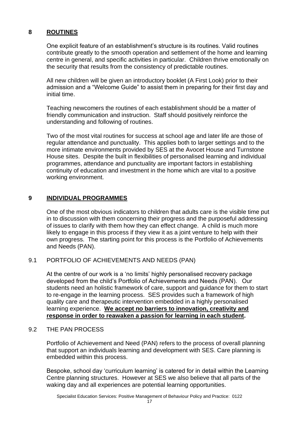# **8 ROUTINES**

One explicit feature of an establishment's structure is its routines. Valid routines contribute greatly to the smooth operation and settlement of the home and learning centre in general, and specific activities in particular. Children thrive emotionally on the security that results from the consistency of predictable routines.

All new children will be given an introductory booklet (A First Look) prior to their admission and a "Welcome Guide" to assist them in preparing for their first day and initial time.

Teaching newcomers the routines of each establishment should be a matter of friendly communication and instruction. Staff should positively reinforce the understanding and following of routines.

Two of the most vital routines for success at school age and later life are those of regular attendance and punctuality. This applies both to larger settings and to the more intimate environments provided by SES at the Avocet House and Turnstone House sites. Despite the built in flexibilities of personalised learning and individual programmes, attendance and punctuality are important factors in establishing continuity of education and investment in the home which are vital to a positive working environment.

# **9 INDIVIDUAL PROGRAMMES**

One of the most obvious indicators to children that adults care is the visible time put in to discussion with them concerning their progress and the purposeful addressing of issues to clarify with them how they can effect change. A child is much more likely to engage in this process if they view it as a joint venture to help with their own progress. The starting point for this process is the Portfolio of Achievements and Needs (PAN).

#### 9.1 PORTFOLIO OF ACHIEVEMENTS AND NEEDS (PAN)

At the centre of our work is a 'no limits' highly personalised recovery package developed from the child's Portfolio of Achievements and Needs (PAN). Our students need an holistic framework of care, support and guidance for them to start to re-engage in the learning process. SES provides such a framework of high quality care and therapeutic intervention embedded in a highly personalised learning experience. **We accept no barriers to innovation, creativity and response in order to reawaken a passion for learning in each student.** 

#### 9.2 THE PAN PROCESS

Portfolio of Achievement and Need (PAN) refers to the process of overall planning that support an individuals learning and development with SES. Care planning is embedded within this process.

Bespoke, school day 'curriculum learning' is catered for in detail within the Learning Centre planning structures. However at SES we also believe that all parts of the waking day and all experiences are potential learning opportunities.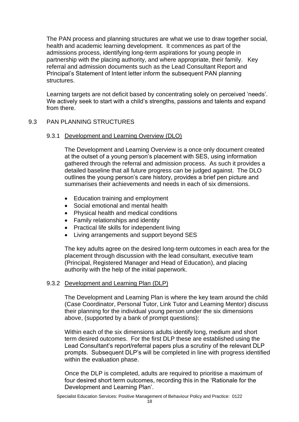The PAN process and planning structures are what we use to draw together social, health and academic learning development. It commences as part of the admissions process, identifying long-term aspirations for young people in partnership with the placing authority, and where appropriate, their family. Key referral and admission documents such as the Lead Consultant Report and Principal's Statement of Intent letter inform the subsequent PAN planning structures.

Learning targets are not deficit based by concentrating solely on perceived 'needs'. We actively seek to start with a child's strengths, passions and talents and expand from there.

# 9.3 PAN PLANNING STRUCTURES

#### 9.3.1 Development and Learning Overview (DLO)

The Development and Learning Overview is a once only document created at the outset of a young person's placement with SES, using information gathered through the referral and admission process. As such it provides a detailed baseline that all future progress can be judged against. The DLO outlines the young person's care history, provides a brief pen picture and summarises their achievements and needs in each of six dimensions.

- Education training and employment
- Social emotional and mental health
- Physical health and medical conditions
- Family relationships and identity
- Practical life skills for independent living
- Living arrangements and support beyond SES

The key adults agree on the desired long-term outcomes in each area for the placement through discussion with the lead consultant, executive team (Principal, Registered Manager and Head of Education), and placing authority with the help of the initial paperwork.

#### 9.3.2 Development and Learning Plan (DLP)

The Development and Learning Plan is where the key team around the child (Case Coordinator, Personal Tutor, Link Tutor and Learning Mentor) discuss their planning for the individual young person under the six dimensions above, (supported by a bank of prompt questions):

Within each of the six dimensions adults identify long, medium and short term desired outcomes. For the first DLP these are established using the Lead Consultant's report/referral papers plus a scrutiny of the relevant DLP prompts. Subsequent DLP's will be completed in line with progress identified within the evaluation phase.

Once the DLP is completed, adults are required to prioritise a maximum of four desired short term outcomes, recording this in the 'Rationale for the Development and Learning Plan'.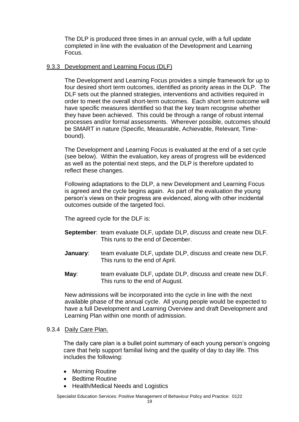The DLP is produced three times in an annual cycle, with a full update completed in line with the evaluation of the Development and Learning Focus.

#### 9.3.3 Development and Learning Focus (DLF)

The Development and Learning Focus provides a simple framework for up to four desired short term outcomes, identified as priority areas in the DLP. The DLF sets out the planned strategies, interventions and activities required in order to meet the overall short-term outcomes. Each short term outcome will have specific measures identified so that the key team recognise whether they have been achieved. This could be through a range of robust internal processes and/or formal assessments. Wherever possible, outcomes should be SMART in nature (Specific, Measurable, Achievable, Relevant, Timebound).

The Development and Learning Focus is evaluated at the end of a set cycle (see below). Within the evaluation, key areas of progress will be evidenced as well as the potential next steps, and the DLP is therefore updated to reflect these changes.

Following adaptations to the DLP, a new Development and Learning Focus is agreed and the cycle begins again. As part of the evaluation the young person's views on their progress are evidenced, along with other incidental outcomes outside of the targeted foci.

The agreed cycle for the DLF is:

- **September**: team evaluate DLF, update DLP, discuss and create new DLF. This runs to the end of December.
- **January:** team evaluate DLF, update DLP, discuss and create new DLF. This runs to the end of April.
- **May**: team evaluate DLF, update DLP, discuss and create new DLF. This runs to the end of August.

New admissions will be incorporated into the cycle in line with the next available phase of the annual cycle. All young people would be expected to have a full Development and Learning Overview and draft Development and Learning Plan within one month of admission.

#### 9.3.4 Daily Care Plan.

The daily care plan is a bullet point summary of each young person's ongoing care that help support familial living and the quality of day to day life. This includes the following:

- Morning Routine
- Bedtime Routine
- Health/Medical Needs and Logistics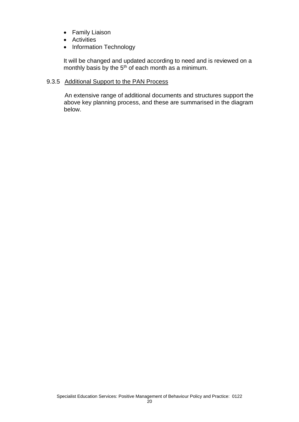- Family Liaison
- Activities
- Information Technology

It will be changed and updated according to need and is reviewed on a monthly basis by the  $5<sup>th</sup>$  of each month as a minimum.

#### 9.3.5 Additional Support to the PAN Process

An extensive range of additional documents and structures support the above key planning process, and these are summarised in the diagram below.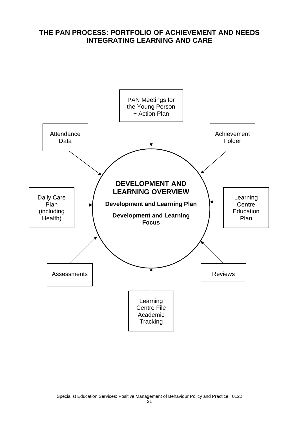# **THE PAN PROCESS: PORTFOLIO OF ACHIEVEMENT AND NEEDS INTEGRATING LEARNING AND CARE**

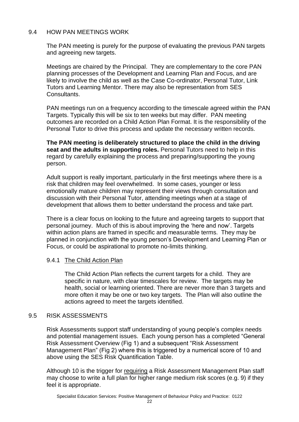# 9.4 HOW PAN MEETINGS WORK

The PAN meeting is purely for the purpose of evaluating the previous PAN targets and agreeing new targets.

Meetings are chaired by the Principal. They are complementary to the core PAN planning processes of the Development and Learning Plan and Focus, and are likely to involve the child as well as the Case Co-ordinator, Personal Tutor, Link Tutors and Learning Mentor. There may also be representation from SES Consultants.

PAN meetings run on a frequency according to the timescale agreed within the PAN Targets. Typically this will be six to ten weeks but may differ. PAN meeting outcomes are recorded on a Child Action Plan Format. It is the responsibility of the Personal Tutor to drive this process and update the necessary written records.

**The PAN meeting is deliberately structured to place the child in the driving seat and the adults in supporting roles.** Personal Tutors need to help in this regard by carefully explaining the process and preparing/supporting the young person.

Adult support is really important, particularly in the first meetings where there is a risk that children may feel overwhelmed. In some cases, younger or less emotionally mature children may represent their views through consultation and discussion with their Personal Tutor, attending meetings when at a stage of development that allows them to better understand the process and take part.

There is a clear focus on looking to the future and agreeing targets to support that personal journey. Much of this is about improving the 'here and now'. Targets within action plans are framed in specific and measurable terms. They may be planned in conjunction with the young person's Development and Learning Plan or Focus, or could be aspirational to promote no-limits thinking.

# 9.4.1 The Child Action Plan

The Child Action Plan reflects the current targets for a child. They are specific in nature, with clear timescales for review. The targets may be health, social or learning oriented. There are never more than 3 targets and more often it may be one or two key targets. The Plan will also outline the actions agreed to meet the targets identified.

#### 9.5 RISK ASSESSMENTS

Risk Assessments support staff understanding of young people's complex needs and potential management issues. Each young person has a completed "General Risk Assessment Overview (Fig 1) and a subsequent "Risk Assessment Management Plan" (Fig 2) where this is triggered by a numerical score of 10 and above using the SES Risk Quantification Table.

Although 10 is the trigger for requiring a Risk Assessment Management Plan staff may choose to write a full plan for higher range medium risk scores (e.g. 9) if they feel it is appropriate.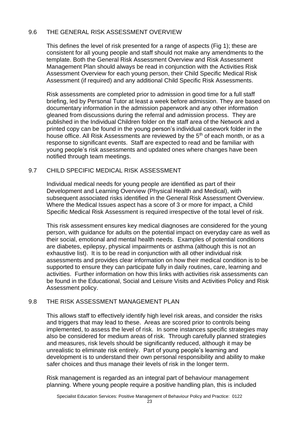# 9.6 THE GENERAL RISK ASSESSMENT OVERVIEW

This defines the level of risk presented for a range of aspects (Fig 1); these are consistent for all young people and staff should not make any amendments to the template. Both the General Risk Assessment Overview and Risk Assessment Management Plan should always be read in conjunction with the Activities Risk Assessment Overview for each young person, their Child Specific Medical Risk Assessment (if required) and any additional Child Specific Risk Assessments.

Risk assessments are completed prior to admission in good time for a full staff briefing, led by Personal Tutor at least a week before admission. They are based on documentary information in the admission paperwork and any other information gleaned from discussions during the referral and admission process. They are published in the Individual Children folder on the staff area of the Network and a printed copy can be found in the young person's individual casework folder in the house office. All Risk Assessments are reviewed by the 5<sup>th</sup> of each month, or as a response to significant events. Staff are expected to read and be familiar with young people's risk assessments and updated ones where changes have been notified through team meetings.

# 9.7 CHILD SPECIFIC MEDICAL RISK ASSESSMENT

Individual medical needs for young people are identified as part of their Development and Learning Overview (Physical Health and Medical), with subsequent associated risks identified in the General Risk Assessment Overview. Where the Medical Issues aspect has a score of 3 or more for impact, a Child Specific Medical Risk Assessment is required irrespective of the total level of risk.

This risk assessment ensures key medical diagnoses are considered for the young person, with guidance for adults on the potential impact on everyday care as well as their social, emotional and mental health needs. Examples of potential conditions are diabetes, epilepsy, physical impairments or asthma (although this is not an exhaustive list). It is to be read in conjunction with all other individual risk assessments and provides clear information on how their medical condition is to be supported to ensure they can participate fully in daily routines, care, learning and activities. Further information on how this links with activities risk assessments can be found in the Educational, Social and Leisure Visits and Activities Policy and Risk Assessment policy.

# 9.8 THE RISK ASSESSMENT MANAGEMENT PLAN

This allows staff to effectively identify high level risk areas, and consider the risks and triggers that may lead to these. Areas are scored prior to controls being implemented, to assess the level of risk. In some instances specific strategies may also be considered for medium areas of risk. Through carefully planned strategies and measures, risk levels should be significantly reduced, although it may be unrealistic to eliminate risk entirely. Part of young people's learning and development is to understand their own personal responsibility and ability to make safer choices and thus manage their levels of risk in the longer term.

Risk management is regarded as an integral part of behaviour management planning. Where young people require a positive handling plan, this is included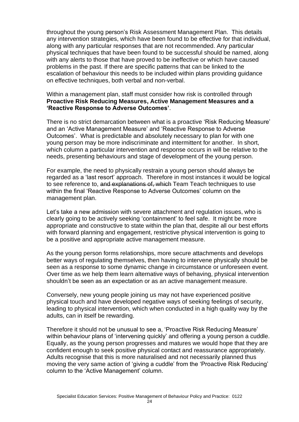throughout the young person's Risk Assessment Management Plan. This details any intervention strategies, which have been found to be effective for that individual, along with any particular responses that are not recommended. Any particular physical techniques that have been found to be successful should be named, along with any alerts to those that have proved to be ineffective or which have caused problems in the past. If there are specific patterns that can be linked to the escalation of behaviour this needs to be included within plans providing guidance on effective techniques, both verbal and non-verbal.

#### Within a management plan, staff must consider how risk is controlled through **Proactive Risk Reducing Measures, Active Management Measures and a 'Reactive Response to Adverse Outcomes'**.

There is no strict demarcation between what is a proactive 'Risk Reducing Measure' and an 'Active Management Measure' and 'Reactive Response to Adverse Outcomes'. What is predictable and absolutely necessary to plan for with one young person may be more indiscriminate and intermittent for another. In short, which column a particular intervention and response occurs in will be relative to the needs, presenting behaviours and stage of development of the young person.

For example, the need to physically restrain a young person should always be regarded as a 'last resort' approach. Therefore in most instances it would be logical to see reference to, and explanations of, which Team Teach techniques to use within the final 'Reactive Response to Adverse Outcomes' column on the management plan.

Let's take a new admission with severe attachment and regulation issues, who is clearly going to be actively seeking 'containment' to feel safe. It might be more appropriate and constructive to state within the plan that, despite all our best efforts with forward planning and engagement, restrictive physical intervention is going to be a positive and appropriate active management measure.

As the young person forms relationships, more secure attachments and develops better ways of regulating themselves, then having to intervene physically should be seen as a response to some dynamic change in circumstance or unforeseen event. Over time as we help them learn alternative ways of behaving, physical intervention shouldn't be seen as an expectation or as an active management measure.

Conversely, new young people joining us may not have experienced positive physical touch and have developed negative ways of seeking feelings of security, leading to physical intervention, which when conducted in a high quality way by the adults, can in itself be rewarding.

Therefore it should not be unusual to see a, 'Proactive Risk Reducing Measure' within behaviour plans of 'intervening quickly' and offering a young person a cuddle. Equally, as the young person progresses and matures we would hope that they are confident enough to seek positive physical contact and reassurance appropriately. Adults recognise that this is more naturalised and not necessarily planned thus moving the very same action of 'giving a cuddle' from the 'Proactive Risk Reducing' column to the 'Active Management' column.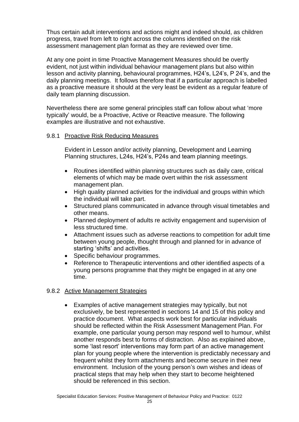Thus certain adult interventions and actions might and indeed should, as children progress, travel from left to right across the columns identified on the risk assessment management plan format as they are reviewed over time.

At any one point in time Proactive Management Measures should be overtly evident, not just within individual behaviour management plans but also within lesson and activity planning, behavioural programmes, H24's, L24's, P 24's, and the daily planning meetings. It follows therefore that if a particular approach is labelled as a proactive measure it should at the very least be evident as a regular feature of daily team planning discussion.

Nevertheless there are some general principles staff can follow about what 'more typically' would, be a Proactive, Active or Reactive measure. The following examples are illustrative and not exhaustive.

#### 9.8.1 Proactive Risk Reducing Measures

Evident in Lesson and/or activity planning, Development and Learning Planning structures, L24s, H24's, P24s and team planning meetings.

- Routines identified within planning structures such as daily care, critical elements of which may be made overt within the risk assessment management plan.
- High quality planned activities for the individual and groups within which the individual will take part.
- Structured plans communicated in advance through visual timetables and other means.
- Planned deployment of adults re activity engagement and supervision of less structured time.
- Attachment issues such as adverse reactions to competition for adult time between young people, thought through and planned for in advance of starting 'shifts' and activities.
- Specific behaviour programmes.
- Reference to Therapeutic interventions and other identified aspects of a young persons programme that they might be engaged in at any one time.

#### 9.8.2 Active Management Strategies

• Examples of active management strategies may typically, but not exclusively, be best represented in sections 14 and 15 of this policy and practice document. What aspects work best for particular individuals should be reflected within the Risk Assessment Management Plan. For example, one particular young person may respond well to humour, whilst another responds best to forms of distraction. Also as explained above, some 'last resort' interventions may form part of an active management plan for young people where the intervention is predictably necessary and frequent whilst they form attachments and become secure in their new environment. Inclusion of the young person's own wishes and ideas of practical steps that may help when they start to become heightened should be referenced in this section.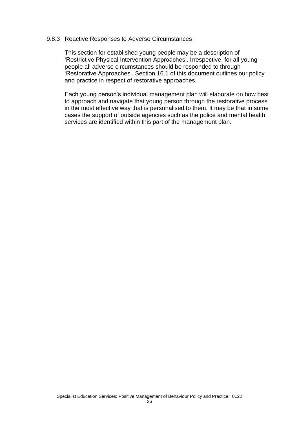#### 9.8.3 Reactive Responses to Adverse Circumstances

This section for established young people may be a description of 'Restrictive Physical Intervention Approaches'. Irrespective, for all young people all adverse circumstances should be responded to through 'Restorative Approaches'. Section 16.1 of this document outlines our policy and practice in respect of restorative approaches.

Each young person's individual management plan will elaborate on how best to approach and navigate that young person through the restorative process in the most effective way that is personalised to them. It may be that in some cases the support of outside agencies such as the police and mental health services are identified within this part of the management plan.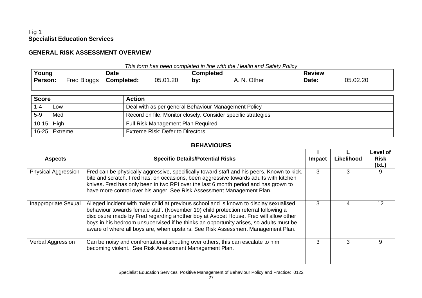# Fig 1 **Specialist Education Services**

# **GENERAL RISK ASSESSMENT OVERVIEW**

|         | This form has been completed in line with the Health and Safety Policy |             |          |                  |             |               |          |  |
|---------|------------------------------------------------------------------------|-------------|----------|------------------|-------------|---------------|----------|--|
| Young   |                                                                        | <b>Date</b> |          | <b>Completed</b> |             | <b>Review</b> |          |  |
| Person: | Fred Bloggs                                                            | Completed:  | 05.01.20 | by:              | A. N. Other | Date:         | 05.02.20 |  |
|         |                                                                        |             |          |                  |             |               |          |  |
|         |                                                                        |             |          |                  |             |               |          |  |

| <b>Score</b>  | <b>Action</b>                                                 |
|---------------|---------------------------------------------------------------|
| Low           | Deal with as per general Behaviour Management Policy          |
| $5-9$<br>Med  | Record on file. Monitor closely. Consider specific strategies |
| 10-15 High    | Full Risk Management Plan Required                            |
| 16-25 Extreme | Extreme Risk: Defer to Directors                              |

| <b>BEHAVIOURS</b>          |                                                                                                                                                                                                                                                                                                                                                                                                                                                     |        |            |                                  |  |
|----------------------------|-----------------------------------------------------------------------------------------------------------------------------------------------------------------------------------------------------------------------------------------------------------------------------------------------------------------------------------------------------------------------------------------------------------------------------------------------------|--------|------------|----------------------------------|--|
| <b>Aspects</b>             | <b>Specific Details/Potential Risks</b>                                                                                                                                                                                                                                                                                                                                                                                                             | Impact | Likelihood | Level of<br><b>Risk</b><br>(lxL) |  |
| <b>Physical Aggression</b> | Fred can be physically aggressive, specifically toward staff and his peers. Known to kick,<br>bite and scratch. Fred has, on occasions, been aggressive towards adults with kitchen<br>knives. Fred has only been in two RPI over the last 6 month period and has grown to<br>have more control over his anger. See Risk Assessment Management Plan.                                                                                                | 3      | 3          | 9                                |  |
| Inappropriate Sexual       | Alleged incident with male child at previous school and is known to display sexualised<br>behaviour towards female staff. (November 19) child protection referral following a<br>disclosure made by Fred regarding another boy at Avocet House. Fred will allow other<br>boys in his bedroom unsupervised if he thinks an opportunity arises, so adults must be<br>aware of where all boys are, when upstairs. See Risk Assessment Management Plan. | 3      | 4          | 12                               |  |
| Verbal Aggression          | Can be noisy and confrontational shouting over others, this can escalate to him<br>becoming violent. See Risk Assessment Management Plan.                                                                                                                                                                                                                                                                                                           | 3      |            | 9                                |  |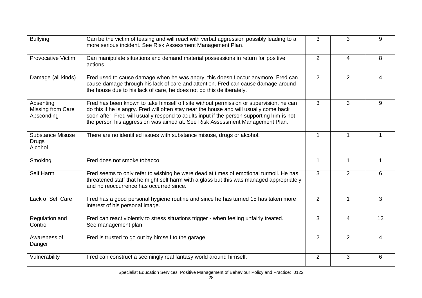| <b>Bullying</b>                              | Can be the victim of teasing and will react with verbal aggression possibly leading to a<br>more serious incident. See Risk Assessment Management Plan.                                                                                                                                                                                                       | 3              | 3              | 9            |
|----------------------------------------------|---------------------------------------------------------------------------------------------------------------------------------------------------------------------------------------------------------------------------------------------------------------------------------------------------------------------------------------------------------------|----------------|----------------|--------------|
| <b>Provocative Victim</b>                    | Can manipulate situations and demand material possessions in return for positive<br>actions.                                                                                                                                                                                                                                                                  | $\overline{2}$ | 4              | 8            |
| Damage (all kinds)                           | Fred used to cause damage when he was angry, this doesn't occur anymore, Fred can<br>cause damage through his lack of care and attention. Fred can cause damage around<br>the house due to his lack of care, he does not do this deliberately.                                                                                                                | $\overline{2}$ | 2              | 4            |
| Absenting<br>Missing from Care<br>Absconding | Fred has been known to take himself off site without permission or supervision, he can<br>do this if he is angry. Fred will often stay near the house and will usually come back<br>soon after. Fred will usually respond to adults input if the person supporting him is not<br>the person his aggression was aimed at. See Risk Assessment Management Plan. | 3              | 3              | 9            |
| <b>Substance Misuse</b><br>Drugs<br>Alcohol  | There are no identified issues with substance misuse, drugs or alcohol.                                                                                                                                                                                                                                                                                       | 1              | 1              |              |
| Smoking                                      | Fred does not smoke tobacco.                                                                                                                                                                                                                                                                                                                                  | 1              | $\mathbf{1}$   | $\mathbf{1}$ |
| Self Harm                                    | Fred seems to only refer to wishing he were dead at times of emotional turmoil. He has<br>threatened staff that he might self harm with a glass but this was managed appropriately<br>and no reoccurrence has occurred since.                                                                                                                                 | 3              | 2              | 6            |
| Lack of Self Care                            | Fred has a good personal hygiene routine and since he has turned 15 has taken more<br>interest of his personal image.                                                                                                                                                                                                                                         | $\overline{2}$ | 1              | 3            |
| Regulation and<br>Control                    | Fred can react violently to stress situations trigger - when feeling unfairly treated.<br>See management plan.                                                                                                                                                                                                                                                | 3              | 4              | 12           |
| Awareness of<br>Danger                       | Fred is trusted to go out by himself to the garage.                                                                                                                                                                                                                                                                                                           | 2              | $\overline{2}$ | 4            |
| Vulnerability                                | Fred can construct a seemingly real fantasy world around himself.                                                                                                                                                                                                                                                                                             | 2              | 3              | 6            |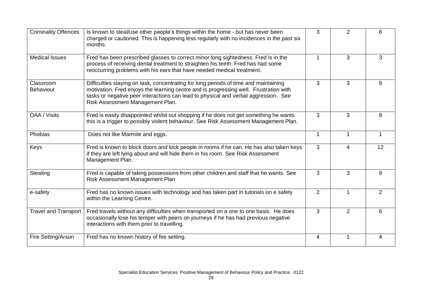| <b>Criminality Offences</b>   | Is known to steal/use other people's things within the home - but has never been<br>charged or cautioned. This is happening less regularly with no incidences in the past six<br>months.                                                                                                                 | 3              | 2              | 6              |
|-------------------------------|----------------------------------------------------------------------------------------------------------------------------------------------------------------------------------------------------------------------------------------------------------------------------------------------------------|----------------|----------------|----------------|
| <b>Medical Issues</b>         | Fred has been prescribed glasses to correct minor long sightedness. Fred is in the<br>process of receiving dental treatment to straighten his teeth. Fred has had some<br>reoccurring problems with his ears that have needed medical treatment.                                                         | 1              | 3              | 3              |
| Classroom<br><b>Behaviour</b> | Difficulties staying on task, concentrating for long periods of time and maintaining<br>motivation. Fred enjoys the learning centre and is progressing well. Frustration with<br>tasks or negative peer interactions can lead to physical and verbal aggression. See<br>Risk Assessment Management Plan. | 3              | 3              | 9              |
| OAA / Visits                  | Fred is easily disappointed whilst out shopping if he does not get something he wants<br>this is a trigger to possibly violent behaviour. See Risk Assessment Management Plan.                                                                                                                           | 3              | 3              | 9              |
| Phobias                       | Does not like Marmite and eggs.                                                                                                                                                                                                                                                                          | $\mathbf{1}$   | $\mathbf 1$    | $\overline{1}$ |
| Keys                          | Fred is known to block doors and lock people in rooms if he can. He has also taken keys<br>if they are left lying about and will hide them in his room. See Risk Assessment<br>Management Plan.                                                                                                          | 3              | 4              | 12             |
| Stealing                      | Fred is capable of taking possessions from other children and staff that he wants. See<br>Risk Assessment Management Plan                                                                                                                                                                                | 3              | 3              | 9              |
| e-safety                      | Fred has no known issues with technology and has taken part in tutorials on e safety<br>within the Learning Centre.                                                                                                                                                                                      | $\overline{2}$ |                | $\overline{2}$ |
| <b>Travel and Transport</b>   | Fred travels without any difficulties when transported on a one to one basis. He does<br>occasionally lose his temper with peers on journeys if he has had previous negative<br>interactions with them prior to travelling.                                                                              | 3              | $\overline{2}$ | 6              |
| Fire Setting/Arson            | Fred has no known history of fire setting.                                                                                                                                                                                                                                                               | 4              | 1              | 4              |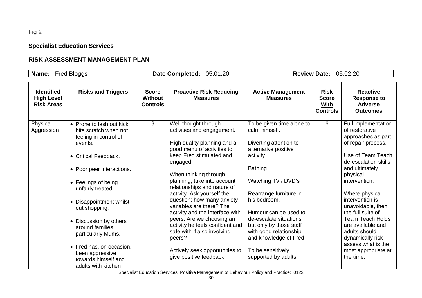# Fig 2

**Specialist Education Services**

# **RISK ASSESSMENT MANAGEMENT PLAN**

| Name:                                                       | <b>Fred Bloggs</b>                                                                                                                                                                                                                                                                                                                                                                                 |                                            | <b>Date Completed:</b><br>05.01.20                                                                                                                                                                                                                                                                                                                                                                                                                                                                                                              |                                                                                                                                                                                                                                                                                                                                                                           | <b>Review Date: 05.02.20</b>                                  |                                                                                                                                                                                                                                                                                                                                                                                                             |
|-------------------------------------------------------------|----------------------------------------------------------------------------------------------------------------------------------------------------------------------------------------------------------------------------------------------------------------------------------------------------------------------------------------------------------------------------------------------------|--------------------------------------------|-------------------------------------------------------------------------------------------------------------------------------------------------------------------------------------------------------------------------------------------------------------------------------------------------------------------------------------------------------------------------------------------------------------------------------------------------------------------------------------------------------------------------------------------------|---------------------------------------------------------------------------------------------------------------------------------------------------------------------------------------------------------------------------------------------------------------------------------------------------------------------------------------------------------------------------|---------------------------------------------------------------|-------------------------------------------------------------------------------------------------------------------------------------------------------------------------------------------------------------------------------------------------------------------------------------------------------------------------------------------------------------------------------------------------------------|
| <b>Identified</b><br><b>High Level</b><br><b>Risk Areas</b> | <b>Risks and Triggers</b>                                                                                                                                                                                                                                                                                                                                                                          | <b>Score</b><br><b>Without</b><br>Controls | <b>Proactive Risk Reducing</b><br><b>Measures</b>                                                                                                                                                                                                                                                                                                                                                                                                                                                                                               | <b>Active Management</b><br><b>Measures</b>                                                                                                                                                                                                                                                                                                                               | <b>Risk</b><br><b>Score</b><br><b>With</b><br><b>Controls</b> | <b>Reactive</b><br><b>Response to</b><br><b>Adverse</b><br><b>Outcomes</b>                                                                                                                                                                                                                                                                                                                                  |
| Physical<br>Aggression                                      | • Prone to lash out kick<br>bite scratch when not<br>feeling in control of<br>events.<br>• Critical Feedback.<br>• Poor peer interactions.<br>• Feelings of being<br>unfairly treated.<br>• Disappointment whilst<br>out shopping.<br>• Discussion by others<br>around families<br>particularly Mums.<br>• Fred has, on occasion,<br>been aggressive<br>towards himself and<br>adults with kitchen | 9                                          | Well thought through<br>activities and engagement.<br>High quality planning and a<br>good menu of activities to<br>keep Fred stimulated and<br>engaged.<br>When thinking through<br>planning, take into account<br>relationships and nature of<br>activity. Ask yourself the<br>question: how many anxiety<br>variables are there? The<br>activity and the interface with<br>peers. Are we choosing an<br>activity he feels confident and<br>safe with if also involving<br>peers?<br>Actively seek opportunities to<br>give positive feedback. | To be given time alone to<br>calm himself.<br>Diverting attention to<br>alternative positive<br>activity<br><b>Bathing</b><br>Watching TV / DVD's<br>Rearrange furniture in<br>his bedroom.<br>Humour can be used to<br>de-escalate situations<br>but only by those staff<br>with good relationship<br>and knowledge of Fred.<br>To be sensitively<br>supported by adults | 6                                                             | Full implementation<br>of restorative<br>approaches as part<br>of repair process.<br>Use of Team Teach<br>de-escalation skills<br>and ultimately<br>physical<br>intervention.<br>Where physical<br>intervention is<br>unavoidable, then<br>the full suite of<br><b>Team Teach Holds</b><br>are available and<br>adults should<br>dynamically risk<br>assess what is the<br>most appropriate at<br>the time. |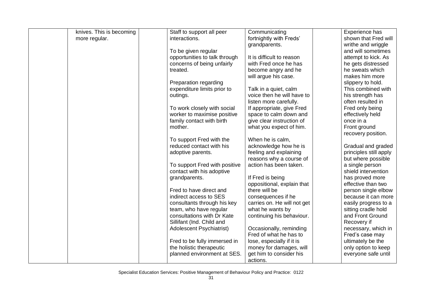| knives. This is becoming | Staff to support all peer       | Communicating               | Experience has         |
|--------------------------|---------------------------------|-----------------------------|------------------------|
| more regular.            | interactions.                   | fortnightly with Freds'     | shown that Fred will   |
|                          |                                 | grandparents.               | writhe and wriggle     |
|                          | To be given regular             |                             | and will sometimes     |
|                          | opportunities to talk through   | It is difficult to reason   | attempt to kick. As    |
|                          | concerns of being unfairly      | with Fred once he has       | he gets distressed     |
|                          | treated.                        | become angry and he         | he sweats which        |
|                          |                                 | will argue his case.        | makes him more         |
|                          | Preparation regarding           |                             | slippery to hold.      |
|                          | expenditure limits prior to     | Talk in a quiet, calm       | This combined with     |
|                          | outings.                        | voice then he will have to  | his strength has       |
|                          |                                 | listen more carefully.      | often resulted in      |
|                          | To work closely with social     | If appropriate, give Fred   | Fred only being        |
|                          | worker to maximise positive     | space to calm down and      | effectively held       |
|                          | family contact with birth       | give clear instruction of   | once in a              |
|                          | mother.                         | what you expect of him.     | Front ground           |
|                          |                                 |                             | recovery position.     |
|                          | To support Fred with the        | When he is calm,            |                        |
|                          | reduced contact with his        | acknowledge how he is       | Gradual and graded     |
|                          | adoptive parents.               | feeling and explaining      | principles still apply |
|                          |                                 | reasons why a course of     | but where possible     |
|                          | To support Fred with positive   | action has been taken.      | a single person        |
|                          | contact with his adoptive       |                             | shield intervention    |
|                          | grandparents.                   | If Fred is being            | has proved more        |
|                          |                                 | oppositional, explain that  | effective than two     |
|                          | Fred to have direct and         | there will be               | person single elbow    |
|                          | indirect access to SES          | consequences if he          | because it can more    |
|                          | consultants through his key     | carries on. He will not get | easily progress to a   |
|                          | team, who have regular          | what he wants by            | sitting cradle hold    |
|                          | consultations with Dr Kate      | continuing his behaviour.   | and Front Ground       |
|                          | Sillifant (Ind. Child and       |                             | Recovery if            |
|                          | <b>Adolescent Psychiatrist)</b> | Occasionally, reminding     | necessary, which in    |
|                          |                                 | Fred of what he has to      | Fred's case may        |
|                          | Fred to be fully immersed in    | lose, especially if it is   | ultimately be the      |
|                          | the holistic therapeutic        | money for damages, will     | only option to keep    |
|                          | planned environment at SES.     | get him to consider his     | everyone safe until    |
|                          |                                 | actions.                    |                        |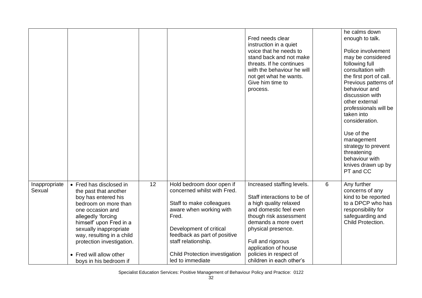|                         |                                                                                                                                                                                                                                                                                                               |    |                                                                                                                                                                                                                                                                  | Fred needs clear<br>instruction in a quiet<br>voice that he needs to<br>stand back and not make<br>threats. If he continues<br>with the behaviour he will<br>not get what he wants.<br>Give him time to<br>process.                                                                      |   | he calms down<br>enough to talk.<br>Police involvement<br>may be considered<br>following full<br>consultation with<br>the first port of call.<br>Previous patterns of<br>behaviour and<br>discussion with<br>other external<br>professionals will be<br>taken into<br>consideration.<br>Use of the<br>management<br>strategy to prevent<br>threatening<br>behaviour with<br>knives drawn up by<br>PT and CC |
|-------------------------|---------------------------------------------------------------------------------------------------------------------------------------------------------------------------------------------------------------------------------------------------------------------------------------------------------------|----|------------------------------------------------------------------------------------------------------------------------------------------------------------------------------------------------------------------------------------------------------------------|------------------------------------------------------------------------------------------------------------------------------------------------------------------------------------------------------------------------------------------------------------------------------------------|---|-------------------------------------------------------------------------------------------------------------------------------------------------------------------------------------------------------------------------------------------------------------------------------------------------------------------------------------------------------------------------------------------------------------|
| Inappropriate<br>Sexual | • Fred has disclosed in<br>the past that another<br>boy has entered his<br>bedroom on more than<br>one occasion and<br>allegedly 'forcing<br>himself' upon Fred in a<br>sexually inappropriate<br>way, resulting in a child<br>protection investigation.<br>• Fred will allow other<br>boys in his bedroom if | 12 | Hold bedroom door open if<br>concerned whilst with Fred.<br>Staff to make colleagues<br>aware when working with<br>Fred.<br>Development of critical<br>feedback as part of positive<br>staff relationship.<br>Child Protection investigation<br>led to immediate | Increased staffing levels.<br>Staff interactions to be of<br>a high quality relaxed<br>and domestic feel even<br>though risk assessment<br>demands a more overt<br>physical presence.<br>Full and rigorous<br>application of house<br>policies in respect of<br>children in each other's | 6 | Any further<br>concerns of any<br>kind to be reported<br>to a DPCP who has<br>responsibility for<br>safeguarding and<br>Child Protection.                                                                                                                                                                                                                                                                   |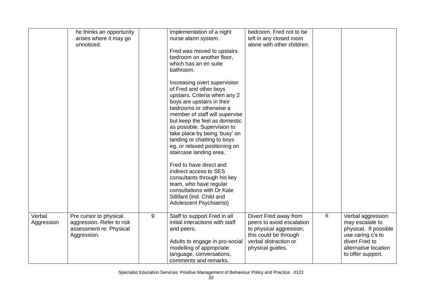|                      | he thinks an opportunity<br>arises where it may go<br>unnoticed.                              |   | implementation of a night<br>nurse alarm system.<br>Fred was moved to upstairs<br>bedroom on another floor,<br>which has an en suite<br>bathroom.<br>Increasing overt supervision<br>of Fred and other boys<br>upstairs. Criteria when any 2<br>boys are upstairs in their<br>bedrooms or otherwise a<br>member of staff will supervise<br>but keep the feel as domestic<br>as possible. Supervision to<br>take place by being 'busy' on<br>landing or chatting to boys<br>eg, or relaxed positioning on<br>staircase landing area.<br>Fred to have direct and<br>indirect access to SES<br>consultants through his key<br>team, who have regular<br>consultations with Dr Kate<br>Sillifant (Ind. Child and<br><b>Adolescent Psychiatrist)</b> | bedroom. Fred not to be<br>left in any closed room<br>alone with other children.                                                                    |   |                                                                                                                                                   |
|----------------------|-----------------------------------------------------------------------------------------------|---|-------------------------------------------------------------------------------------------------------------------------------------------------------------------------------------------------------------------------------------------------------------------------------------------------------------------------------------------------------------------------------------------------------------------------------------------------------------------------------------------------------------------------------------------------------------------------------------------------------------------------------------------------------------------------------------------------------------------------------------------------|-----------------------------------------------------------------------------------------------------------------------------------------------------|---|---------------------------------------------------------------------------------------------------------------------------------------------------|
| Verbal<br>Aggression | Pre cursor to physical<br>aggression. Refer to risk<br>assessment re: Physical<br>Aggression. | 9 | Staff to support Fred in all<br>initial interactions with staff<br>and peers.<br>Adults to engage in pro-social<br>modelling of appropriate<br>language, conversations,<br>comments and remarks.                                                                                                                                                                                                                                                                                                                                                                                                                                                                                                                                                | Divert Fred away from<br>peers to avoid escalation<br>to physical aggression;<br>this could be through<br>verbal distraction or<br>physical guides. | 6 | Verbal aggression<br>may escalate to<br>physical. If possible<br>use caring c's to<br>divert Fred to<br>alternative location<br>to offer support. |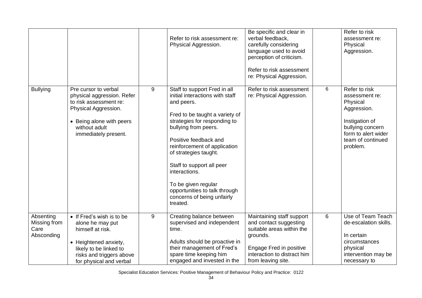|                                                 |                                                                                                                                                                             |   | Refer to risk assessment re:<br>Physical Aggression.                                                                                                                                                                                                                                                                                                                                                      | Be specific and clear in<br>verbal feedback,<br>carefully considering<br>language used to avoid<br>perception of criticism.<br>Refer to risk assessment<br>re: Physical Aggression. |   | Refer to risk<br>assessment re:<br>Physical<br>Aggression.                                                                                               |
|-------------------------------------------------|-----------------------------------------------------------------------------------------------------------------------------------------------------------------------------|---|-----------------------------------------------------------------------------------------------------------------------------------------------------------------------------------------------------------------------------------------------------------------------------------------------------------------------------------------------------------------------------------------------------------|-------------------------------------------------------------------------------------------------------------------------------------------------------------------------------------|---|----------------------------------------------------------------------------------------------------------------------------------------------------------|
| <b>Bullying</b>                                 | Pre cursor to verbal<br>physical aggression. Refer<br>to risk assessment re:<br>Physical Aggression.<br>• Being alone with peers<br>without adult<br>immediately present.   | 9 | Staff to support Fred in all<br>initial interactions with staff<br>and peers.<br>Fred to be taught a variety of<br>strategies for responding to<br>bullying from peers.<br>Positive feedback and<br>reinforcement of application<br>of strategies taught.<br>Staff to support all peer<br>interactions.<br>To be given regular<br>opportunities to talk through<br>concerns of being unfairly<br>treated. | Refer to risk assessment<br>re: Physical Aggression.                                                                                                                                | 6 | Refer to risk<br>assessment re:<br>Physical<br>Aggression.<br>Instigation of<br>bullying concern<br>form to alert wider<br>team of continued<br>problem. |
| Absenting<br>Missing from<br>Care<br>Absconding | • If Fred's wish is to be<br>alone he may put<br>himself at risk.<br>• Heightened anxiety,<br>likely to be linked to<br>risks and triggers above<br>for physical and verbal | 9 | Creating balance between<br>supervised and independent<br>time.<br>Adults should be proactive in<br>their management of Fred's<br>spare time keeping him<br>engaged and invested in the                                                                                                                                                                                                                   | Maintaining staff support<br>and contact suggesting<br>suitable areas within the<br>grounds.<br>Engage Fred in positive<br>interaction to distract him<br>from leaving site.        | 6 | Use of Team Teach<br>de-escalation skills.<br>In certain<br>circumstances<br>physical<br>intervention may be<br>necessary to                             |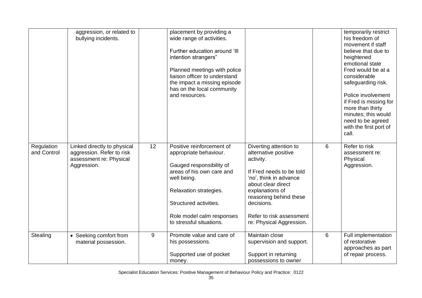|                           | aggression, or related to<br>bullying incidents.                                                   |    | placement by providing a<br>wide range of activities.<br>Further education around 'III<br>intention strangers"<br>Planned meetings with police<br>liaison officer to understand<br>the impact a missing episode<br>has on the local community<br>and resources. |                                                                                                                                                                                                                                                            |   | temporarily restrict<br>his freedom of<br>movement if staff<br>believe that due to<br>heightened<br>emotional state<br>Fred would be at a<br>considerable<br>safeguarding risk.<br>Police involvement<br>if Fred is missing for<br>more than thirty<br>minutes; this would<br>need to be agreed<br>with the first port of<br>call. |
|---------------------------|----------------------------------------------------------------------------------------------------|----|-----------------------------------------------------------------------------------------------------------------------------------------------------------------------------------------------------------------------------------------------------------------|------------------------------------------------------------------------------------------------------------------------------------------------------------------------------------------------------------------------------------------------------------|---|------------------------------------------------------------------------------------------------------------------------------------------------------------------------------------------------------------------------------------------------------------------------------------------------------------------------------------|
| Regulation<br>and Control | Linked directly to physical<br>aggression. Refer to risk<br>assessment re: Physical<br>Aggression. | 12 | Positive reinforcement of<br>appropriate behaviour.<br>Gauged responsibility of<br>areas of his own care and<br>well being.<br>Relaxation strategies.<br>Structured activities.<br>Role model calm responses<br>to stressful situations.                        | Diverting attention to<br>alternative positive<br>activity.<br>If Fred needs to be told<br>'no', think in advance<br>about clear direct<br>explanations of<br>reasoning behind these<br>decisions.<br>Refer to risk assessment<br>re: Physical Aggression. | 6 | Refer to risk<br>assessment re:<br>Physical<br>Aggression.                                                                                                                                                                                                                                                                         |
| Stealing                  | • Seeking comfort from<br>material possession.                                                     | 9  | Promote value and care of<br>his possessions.<br>Supported use of pocket<br>money.                                                                                                                                                                              | Maintain close<br>supervision and support.<br>Support in returning<br>possessions to owner                                                                                                                                                                 | 6 | Full implementation<br>of restorative<br>approaches as part<br>of repair process.                                                                                                                                                                                                                                                  |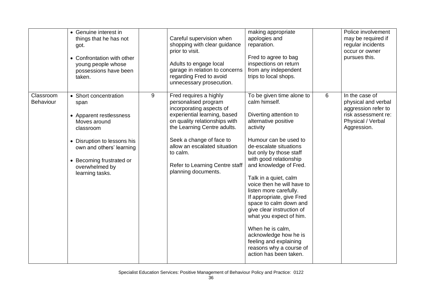|                               | • Genuine interest in<br>things that he has not<br>got.<br>• Confrontation with other<br>young people whose<br>possessions have been<br>taken.                                                                    |   | Careful supervision when<br>shopping with clear guidance<br>prior to visit.<br>Adults to engage local<br>garage in relation to concerns<br>regarding Fred to avoid<br>unnecessary prosecution.                                                                                                              | making appropriate<br>apologies and<br>reparation.<br>Fred to agree to bag<br>inspections on return<br>from any independent<br>trips to local shops.                                                                                                                                                                                                                                                                                                                                                                                                                   |   | Police involvement<br>may be required if<br>regular incidents<br>occur or owner<br>pursues this.                        |
|-------------------------------|-------------------------------------------------------------------------------------------------------------------------------------------------------------------------------------------------------------------|---|-------------------------------------------------------------------------------------------------------------------------------------------------------------------------------------------------------------------------------------------------------------------------------------------------------------|------------------------------------------------------------------------------------------------------------------------------------------------------------------------------------------------------------------------------------------------------------------------------------------------------------------------------------------------------------------------------------------------------------------------------------------------------------------------------------------------------------------------------------------------------------------------|---|-------------------------------------------------------------------------------------------------------------------------|
| Classroom<br><b>Behaviour</b> | • Short concentration<br>span<br>• Apparent restlessness<br>Moves around<br>classroom<br>• Disruption to lessons his<br>own and others' learning<br>• Becoming frustrated or<br>overwhelmed by<br>learning tasks. | 9 | Fred requires a highly<br>personalised program<br>incorporating aspects of<br>experiential learning, based<br>on quality relationships with<br>the Learning Centre adults.<br>Seek a change of face to<br>allow an escalated situation<br>to calm.<br>Refer to Learning Centre staff<br>planning documents. | To be given time alone to<br>calm himself.<br>Diverting attention to<br>alternative positive<br>activity<br>Humour can be used to<br>de-escalate situations<br>but only by those staff<br>with good relationship<br>and knowledge of Fred.<br>Talk in a quiet, calm<br>voice then he will have to<br>listen more carefully.<br>If appropriate, give Fred<br>space to calm down and<br>give clear instruction of<br>what you expect of him.<br>When he is calm,<br>acknowledge how he is<br>feeling and explaining<br>reasons why a course of<br>action has been taken. | 6 | In the case of<br>physical and verbal<br>aggression refer to<br>risk assessment re:<br>Physical / Verbal<br>Aggression. |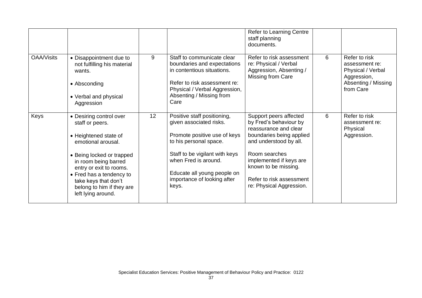|                   |                                                                                                                                                                                                                                                                                  |    |                                                                                                                                                                                                                                                   | <b>Refer to Learning Centre</b><br>staff planning<br>documents.                                                                                                                                                                                             |   |                                                                                                         |
|-------------------|----------------------------------------------------------------------------------------------------------------------------------------------------------------------------------------------------------------------------------------------------------------------------------|----|---------------------------------------------------------------------------------------------------------------------------------------------------------------------------------------------------------------------------------------------------|-------------------------------------------------------------------------------------------------------------------------------------------------------------------------------------------------------------------------------------------------------------|---|---------------------------------------------------------------------------------------------------------|
| <b>OAA/Visits</b> | • Disappointment due to<br>not fulfilling his material<br>wants.<br>• Absconding<br>• Verbal and physical<br>Aggression                                                                                                                                                          | 9  | Staff to communicate clear<br>boundaries and expectations<br>in contentious situations.<br>Refer to risk assessment re:<br>Physical / Verbal Aggression,<br>Absenting / Missing from<br>Care                                                      | Refer to risk assessment<br>re: Physical / Verbal<br>Aggression, Absenting /<br>Missing from Care                                                                                                                                                           | 6 | Refer to risk<br>assessment re:<br>Physical / Verbal<br>Aggression,<br>Absenting / Missing<br>from Care |
| Keys              | • Desiring control over<br>staff or peers.<br>• Heightened state of<br>emotional arousal.<br>• Being locked or trapped<br>in room being barred<br>entry or exit to rooms.<br>• Fred has a tendency to<br>take keys that don't<br>belong to him if they are<br>left lying around. | 12 | Positive staff positioning,<br>given associated risks.<br>Promote positive use of keys<br>to his personal space.<br>Staff to be vigilant with keys<br>when Fred is around.<br>Educate all young people on<br>importance of looking after<br>keys. | Support peers affected<br>by Fred's behaviour by<br>reassurance and clear<br>boundaries being applied<br>and understood by all.<br>Room searches<br>implemented if keys are<br>known to be missing.<br>Refer to risk assessment<br>re: Physical Aggression. | 6 | Refer to risk<br>assessment re:<br>Physical<br>Aggression.                                              |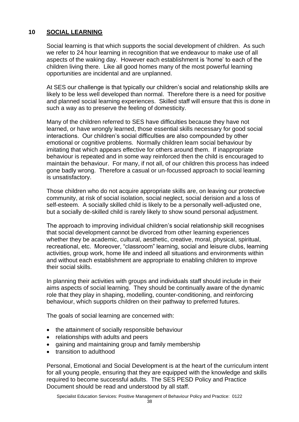# **10 SOCIAL LEARNING**

Social learning is that which supports the social development of children. As such we refer to 24 hour learning in recognition that we endeavour to make use of all aspects of the waking day. However each establishment is 'home' to each of the children living there. Like all good homes many of the most powerful learning opportunities are incidental and are unplanned.

At SES our challenge is that typically our children's social and relationship skills are likely to be less well developed than normal. Therefore there is a need for positive and planned social learning experiences. Skilled staff will ensure that this is done in such a way as to preserve the feeling of domesticity.

Many of the children referred to SES have difficulties because they have not learned, or have wrongly learned, those essential skills necessary for good social interactions. Our children's social difficulties are also compounded by other emotional or cognitive problems. Normally children learn social behaviour by imitating that which appears effective for others around them. If inappropriate behaviour is repeated and in some way reinforced then the child is encouraged to maintain the behaviour. For many, if not all, of our children this process has indeed gone badly wrong. Therefore a casual or un-focussed approach to social learning is unsatisfactory.

Those children who do not acquire appropriate skills are, on leaving our protective community, at risk of social isolation, social neglect, social derision and a loss of self-esteem. A socially skilled child is likely to be a personally well-adjusted one, but a socially de-skilled child is rarely likely to show sound personal adjustment.

The approach to improving individual children's social relationship skill recognises that social development cannot be divorced from other learning experiences whether they be academic, cultural, aesthetic, creative, moral, physical, spiritual, recreational, etc. Moreover, "classroom" learning, social and leisure clubs, learning activities, group work, home life and indeed all situations and environments within and without each establishment are appropriate to enabling children to improve their social skills.

In planning their activities with groups and individuals staff should include in their aims aspects of social learning. They should be continually aware of the dynamic role that they play in shaping, modelling, counter-conditioning, and reinforcing behaviour, which supports children on their pathway to preferred futures.

The goals of social learning are concerned with:

- the attainment of socially responsible behaviour
- relationships with adults and peers
- gaining and maintaining group and family membership
- transition to adulthood

Personal, Emotional and Social Development is at the heart of the curriculum intent for all young people, ensuring that they are equipped with the knowledge and skills required to become successful adults. The SES PESD Policy and Practice Document should be read and understood by all staff.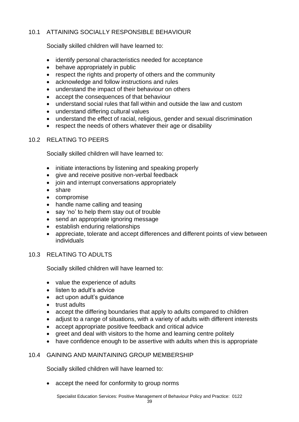# 10.1 ATTAINING SOCIALLY RESPONSIBLE BEHAVIOUR

Socially skilled children will have learned to:

- identify personal characteristics needed for acceptance
- behave appropriately in public
- respect the rights and property of others and the community
- acknowledge and follow instructions and rules
- understand the impact of their behaviour on others
- accept the consequences of that behaviour
- understand social rules that fall within and outside the law and custom
- understand differing cultural values
- understand the effect of racial, religious, gender and sexual discrimination
- respect the needs of others whatever their age or disability

## 10.2 RELATING TO PEERS

Socially skilled children will have learned to:

- initiate interactions by listening and speaking properly
- give and receive positive non-verbal feedback
- join and interrupt conversations appropriately
- share
- compromise
- handle name calling and teasing
- say 'no' to help them stay out of trouble
- send an appropriate ignoring message
- establish enduring relationships
- appreciate, tolerate and accept differences and different points of view between individuals

## 10.3 RELATING TO ADULTS

Socially skilled children will have learned to:

- value the experience of adults
- listen to adult's advice
- act upon adult's quidance
- trust adults
- accept the differing boundaries that apply to adults compared to children
- adjust to a range of situations, with a variety of adults with different interests
- accept appropriate positive feedback and critical advice
- greet and deal with visitors to the home and learning centre politely
- have confidence enough to be assertive with adults when this is appropriate

## 10.4 GAINING AND MAINTAINING GROUP MEMBERSHIP

Socially skilled children will have learned to:

• accept the need for conformity to group norms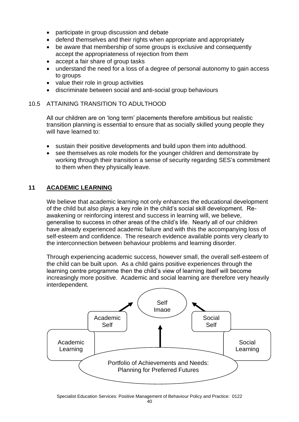- participate in group discussion and debate
- defend themselves and their rights when appropriate and appropriately
- be aware that membership of some groups is exclusive and consequently accept the appropriateness of rejection from them
- accept a fair share of group tasks
- understand the need for a loss of a degree of personal autonomy to gain access to groups
- value their role in group activities
- discriminate between social and anti-social group behaviours

# 10.5 ATTAINING TRANSITION TO ADULTHOOD

All our children are on 'long term' placements therefore ambitious but realistic transition planning is essential to ensure that as socially skilled young people they will have learned to:

- sustain their positive developments and build upon them into adulthood.
- see themselves as role models for the younger children and demonstrate by working through their transition a sense of security regarding SES's commitment to them when they physically leave.

# **11 ACADEMIC LEARNING**

We believe that academic learning not only enhances the educational development of the child but also plays a key role in the child's social skill development. Reawakening or reinforcing interest and success in learning will, we believe, generalise to success in other areas of the child's life. Nearly all of our children have already experienced academic failure and with this the accompanying loss of self-esteem and confidence. The research evidence available points very clearly to the interconnection between behaviour problems and learning disorder.

Through experiencing academic success, however small, the overall self-esteem of the child can be built upon. As a child gains positive experiences through the learning centre programme then the child's view of learning itself will become increasingly more positive. Academic and social learning are therefore very heavily interdependent.

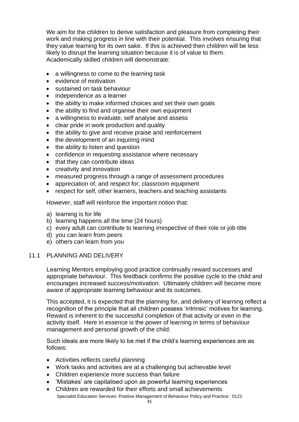We aim for the children to derive satisfaction and pleasure from completing their work and making progress in line with their potential. This involves ensuring that they value learning for its own sake. If this is achieved then children will be less likely to disrupt the learning situation because it is of value to them. Academically skilled children will demonstrate:

- a willingness to come to the learning task
- evidence of motivation
- sustained on task behaviour
- independence as a learner
- the ability to make informed choices and set their own goals
- the ability to find and organise their own equipment
- a willingness to evaluate, self analyse and assess
- clear pride in work production and quality
- the ability to give and receive praise and reinforcement
- the development of an inquiring mind
- the ability to listen and question
- confidence in requesting assistance where necessary
- that they can contribute ideas
- creativity and innovation
- measured progress through a range of assessment procedures
- appreciation of, and respect for, classroom equipment
- respect for self, other learners, teachers and teaching assistants

However, staff will reinforce the important notion that:

- a) learning is for life
- b) learning happens all the time (24 hours)
- c) every adult can contribute to learning irrespective of their role or job title
- d) you can learn from peers
- e) others can learn from you

#### 11.1 PLANNING AND DELIVERY

Learning Mentors employing good practice continually reward successes and appropriate behaviour. This feedback confirms the positive cycle to the child and encourages increased success/motivation. Ultimately children will become more aware of appropriate learning behaviour and its outcomes.

This accepted, it is expected that the planning for, and delivery of learning reflect a recognition of the principle that all children possess 'intrinsic' motives for learning. Reward is inherent to the successful completion of that activity or even in the activity itself. Here in essence is the power of learning in terms of behaviour management and personal growth of the child.

Such ideals are more likely to be met if the child's learning experiences are as follows:

- Activities reflects careful planning
- Work tasks and activities are at a challenging but achievable level
- Children experience more success than failure
- 'Mistakes' are capitalised upon as powerful learning experiences
- Specialist Education Services: Positive Management of Behaviour Policy and Practice: 0122 • Children are rewarded for their efforts and small achievements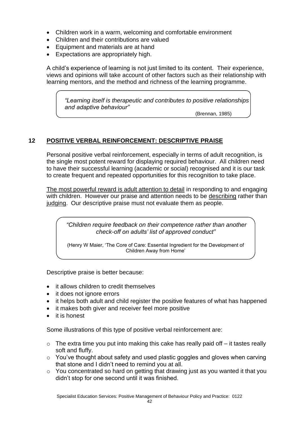- Children work in a warm, welcoming and comfortable environment
- Children and their contributions are valued
- Equipment and materials are at hand
- Expectations are appropriately high.

A child's experience of learning is not just limited to its content. Their experience, views and opinions will take account of other factors such as their relationship with learning mentors, and the method and richness of the learning programme.

*"Learning itself is therapeutic and contributes to positive relationships and adaptive behaviour"*

(Brennan, 1985)

# **12 POSITIVE VERBAL REINFORCEMENT: DESCRIPTIVE PRAISE**

Personal positive verbal reinforcement, especially in terms of adult recognition, is the single most potent reward for displaying required behaviour. All children need to have their successful learning (academic or social) recognised and it is our task to create frequent and repeated opportunities for this recognition to take place.

The most powerful reward is adult attention to detail in responding to and engaging with children. However our praise and attention needs to be describing rather than judging. Our descriptive praise must not evaluate them as people.

*"Children require feedback on their competence rather than another check-off on adults' list of approved conduct"*

(Henry W Maier, 'The Core of Care: Essential Ingredient for the Development of Children Away from Home'

Descriptive praise is better because:

- it allows children to credit themselves
- it does not ignore errors
- it helps both adult and child register the positive features of what has happened
- it makes both giver and receiver feel more positive
- it is honest

Some illustrations of this type of positive verbal reinforcement are:

- $\circ$  The extra time you put into making this cake has really paid off it tastes really soft and fluffy.
- o You've thought about safety and used plastic goggles and gloves when carving that stone and I didn't need to remind you at all.
- $\circ$  You concentrated so hard on getting that drawing just as you wanted it that you didn't stop for one second until it was finished.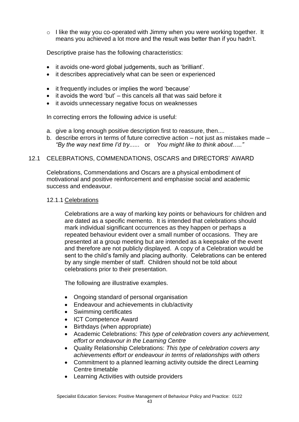$\circ$  I like the way you co-operated with Jimmy when you were working together. It means you achieved a lot more and the result was better than if you hadn't.

Descriptive praise has the following characteristics:

- it avoids one-word global judgements, such as 'brilliant'.
- it describes appreciatively what can be seen or experienced
- it frequently includes or implies the word 'because'
- it avoids the word 'but' this cancels all that was said before it
- it avoids unnecessary negative focus on weaknesses

In correcting errors the following advice is useful:

- a. give a long enough positive description first to reassure, then....
- b. describe errors in terms of future corrective action not just as mistakes made *"By the way next time I'd try......* or *You might like to think about….."*

#### 12.1 CELEBRATIONS, COMMENDATIONS, OSCARS and DIRECTORS' AWARD

Celebrations, Commendations and Oscars are a physical embodiment of motivational and positive reinforcement and emphasise social and academic success and endeavour.

#### 12.1.1 Celebrations

Celebrations are a way of marking key points or behaviours for children and are dated as a specific memento. It is intended that celebrations should mark individual significant occurrences as they happen or perhaps a repeated behaviour evident over a small number of occasions. They are presented at a group meeting but are intended as a keepsake of the event and therefore are not publicly displayed. A copy of a Celebration would be sent to the child's family and placing authority. Celebrations can be entered by any single member of staff. Children should not be told about celebrations prior to their presentation.

The following are illustrative examples.

- Ongoing standard of personal organisation
- Endeavour and achievements in club/activity
- Swimming certificates
- ICT Competence Award
- Birthdays (when appropriate)
- Academic Celebrations: *This type of celebration covers any achievement, effort or endeavour in the Learning Centre*
- Quality Relationship Celebrations: *This type of celebration covers any achievements effort or endeavour in terms of relationships with others*
- Commitment to a planned learning activity outside the direct Learning Centre timetable
- Learning Activities with outside providers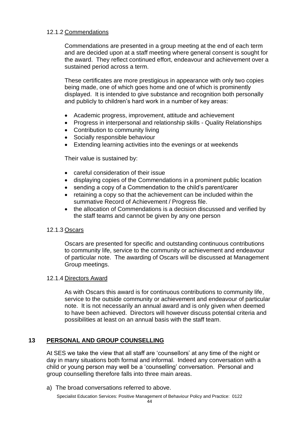# 12.1.2 Commendations

Commendations are presented in a group meeting at the end of each term and are decided upon at a staff meeting where general consent is sought for the award. They reflect continued effort, endeavour and achievement over a sustained period across a term.

These certificates are more prestigious in appearance with only two copies being made, one of which goes home and one of which is prominently displayed. It is intended to give substance and recognition both personally and publicly to children's hard work in a number of key areas:

- Academic progress, improvement, attitude and achievement
- Progress in interpersonal and relationship skills Quality Relationships
- Contribution to community living
- Socially responsible behaviour
- Extending learning activities into the evenings or at weekends

Their value is sustained by:

- careful consideration of their issue
- displaying copies of the Commendations in a prominent public location
- sending a copy of a Commendation to the child's parent/carer
- retaining a copy so that the achievement can be included within the summative Record of Achievement / Progress file.
- the allocation of Commendations is a decision discussed and verified by the staff teams and cannot be given by any one person

## 12.1.3 Oscars

Oscars are presented for specific and outstanding continuous contributions to community life, service to the community or achievement and endeavour of particular note. The awarding of Oscars will be discussed at Management Group meetings.

## 12.1.4 Directors Award

As with Oscars this award is for continuous contributions to community life, service to the outside community or achievement and endeavour of particular note. It is not necessarily an annual award and is only given when deemed to have been achieved. Directors will however discuss potential criteria and possibilities at least on an annual basis with the staff team.

# **13 PERSONAL AND GROUP COUNSELLING**

At SES we take the view that all staff are 'counsellors' at any time of the night or day in many situations both formal and informal. Indeed any conversation with a child or young person may well be a 'counselling' conversation. Personal and group counselling therefore falls into three main areas.

a) The broad conversations referred to above.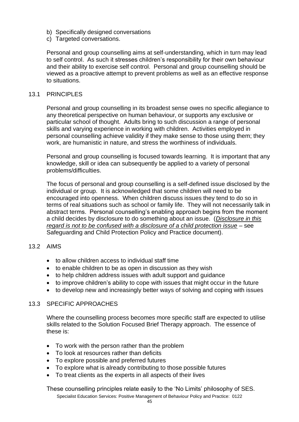- b) Specifically designed conversations
- c) Targeted conversations.

Personal and group counselling aims at self-understanding, which in turn may lead to self control. As such it stresses children's responsibility for their own behaviour and their ability to exercise self control. Personal and group counselling should be viewed as a proactive attempt to prevent problems as well as an effective response to situations.

#### 13.1 PRINCIPLES

Personal and group counselling in its broadest sense owes no specific allegiance to any theoretical perspective on human behaviour, or supports any exclusive or particular school of thought. Adults bring to such discussion a range of personal skills and varying experience in working with children. Activities employed in personal counselling achieve validity if they make sense to those using them; they work, are humanistic in nature, and stress the worthiness of individuals.

Personal and group counselling is focused towards learning. It is important that any knowledge, skill or idea can subsequently be applied to a variety of personal problems/difficulties.

The focus of personal and group counselling is a self-defined issue disclosed by the individual or group. It is acknowledged that some children will need to be encouraged into openness. When children discuss issues they tend to do so in terms of real situations such as school or family life. They will not necessarily talk in abstract terms. Personal counselling's enabling approach begins from the moment a child decides by disclosure to do something about an issue. (*Disclosure in this regard is not to be confused with a disclosure of a child protection issue* – see Safeguarding and Child Protection Policy and Practice document).

#### 13.2 AIMS

- to allow children access to individual staff time
- to enable children to be as open in discussion as they wish
- to help children address issues with adult support and guidance
- to improve children's ability to cope with issues that might occur in the future
- to develop new and increasingly better ways of solving and coping with issues

#### 13.3 SPECIFIC APPROACHES

Where the counselling process becomes more specific staff are expected to utilise skills related to the Solution Focused Brief Therapy approach. The essence of these is:

- To work with the person rather than the problem
- To look at resources rather than deficits
- To explore possible and preferred futures
- To explore what is already contributing to those possible futures
- To treat clients as the experts in all aspects of their lives

Specialist Education Services: Positive Management of Behaviour Policy and Practice: 0122 These counselling principles relate easily to the 'No Limits' philosophy of SES.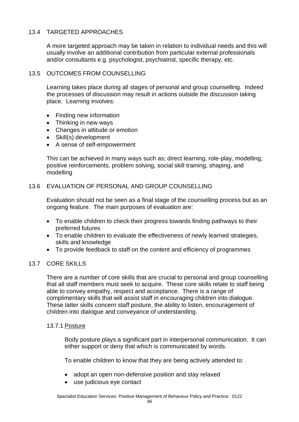# 13.4 TARGETED APPROACHES

A more targeted approach may be taken in relation to individual needs and this will usually involve an additional contribution from particular external professionals and/or consultants e.g. psychologist, psychiatrist, specific therapy, etc.

## 13.5 OUTCOMES FROM COUNSELLING

Learning takes place during all stages of personal and group counselling. Indeed the processes of discussion may result in actions outside the discussion taking place. Learning involves:

- Finding new information
- Thinking in new ways
- Changes in attitude or emotion
- Skill(s) development
- A sense of self-empowerment

This can be achieved in many ways such as; direct learning, role-play, modelling, positive reinforcements, problem solving, social skill training, shaping, and modelling

# 13.6 EVALUATION OF PERSONAL AND GROUP COUNSELLING

Evaluation should not be seen as a final stage of the counselling process but as an ongoing feature. The main purposes of evaluation are:

- To enable children to check their progress towards finding pathways to their preferred futures
- To enable children to evaluate the effectiveness of newly learned strategies, skills and knowledge
- To provide feedback to staff on the content and efficiency of programmes

# 13.7 CORE SKILLS

There are a number of core skills that are crucial to personal and group counselling that all staff members must seek to acquire. These core skills relate to staff being able to convey empathy, respect and acceptance. There is a range of complimentary skills that will assist staff in encouraging children into dialogue. These latter skills concern staff posture, the ability to listen, encouragement of children into dialogue and conveyance of understanding.

## 13.7.1 Posture

Body posture plays a significant part in interpersonal communication. It can either support or deny that which is communicated by words.

To enable children to know that they are being actively attended to:

- adopt an open non-defensive position and stay relaxed
- use judicious eye contact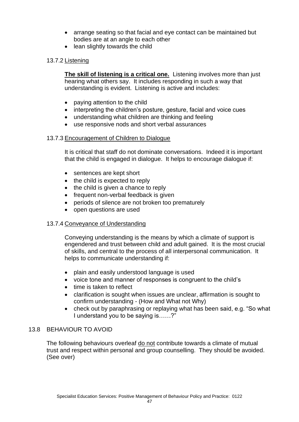- arrange seating so that facial and eye contact can be maintained but bodies are at an angle to each other
- lean slightly towards the child

# 13.7.2 Listening

**The skill of listening is a critical one.** Listening involves more than just hearing what others say. It includes responding in such a way that understanding is evident. Listening is active and includes:

- paying attention to the child
- interpreting the children's posture, gesture, facial and voice cues
- understanding what children are thinking and feeling
- use responsive nods and short verbal assurances

## 13.7.3 Encouragement of Children to Dialogue

It is critical that staff do not dominate conversations. Indeed it is important that the child is engaged in dialogue. It helps to encourage dialogue if:

- sentences are kept short
- the child is expected to reply
- the child is given a chance to reply
- frequent non-verbal feedback is given
- periods of silence are not broken too prematurely
- open questions are used

## 13.7.4 Conveyance of Understanding

Conveying understanding is the means by which a climate of support is engendered and trust between child and adult gained. It is the most crucial of skills, and central to the process of all interpersonal communication. It helps to communicate understanding if:

- plain and easily understood language is used
- voice tone and manner of responses is congruent to the child's
- time is taken to reflect
- clarification is sought when issues are unclear, affirmation is sought to confirm understanding - (How and What not Why)
- check out by paraphrasing or replaying what has been said, e.g. "So what I understand you to be saying is……?"

## 13.8 BEHAVIOUR TO AVOID

The following behaviours overleaf do not contribute towards a climate of mutual trust and respect within personal and group counselling. They should be avoided. (See over)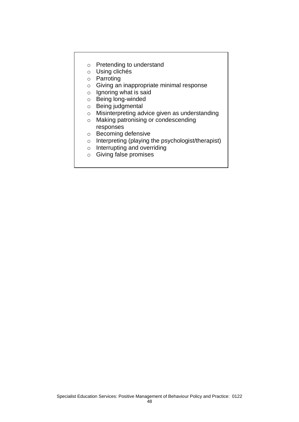- o Pretending to understand
- o Using clichés
- o Parroting
- o Giving an inappropriate minimal response
- o Ignoring what is said
- o Being long-winded
- o Being judgmental
- o Misinterpreting advice given as understanding
- o Making patronising or condescending
	- responses
- o Becoming defensive
- o Interpreting (playing the psychologist/therapist)
- o Interrupting and overriding
- o Giving false promises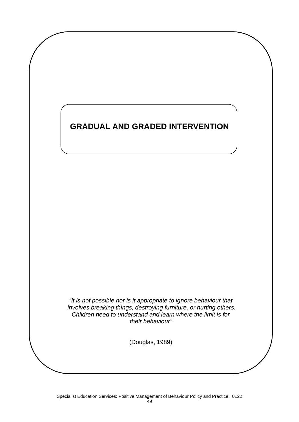# **GRADUAL AND GRADED INTERVENTION**

*"It is not possible nor is it appropriate to ignore behaviour that involves breaking things, destroying furniture, or hurting others. Children need to understand and learn where the limit is for their behaviour"*

(Douglas, 1989)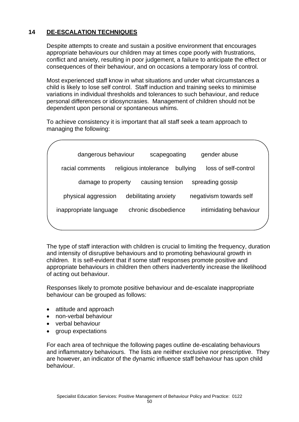# **14 DE-ESCALATION TECHNIQUES**

Despite attempts to create and sustain a positive environment that encourages appropriate behaviours our children may at times cope poorly with frustrations, conflict and anxiety, resulting in poor judgement, a failure to anticipate the effect or consequences of their behaviour, and on occasions a temporary loss of control.

Most experienced staff know in what situations and under what circumstances a child is likely to lose self control. Staff induction and training seeks to minimise variations in individual thresholds and tolerances to such behaviour, and reduce personal differences or idiosyncrasies. Management of children should not be dependent upon personal or spontaneous whims.

To achieve consistency it is important that all staff seek a team approach to managing the following:

| dangerous behaviour    | scapegoating                      | gender abuse            |  |
|------------------------|-----------------------------------|-------------------------|--|
| racial comments        | religious intolerance<br>bullying | loss of self-control    |  |
| damage to property     | causing tension                   | spreading gossip        |  |
| physical aggression    | debilitating anxiety              | negativism towards self |  |
| inappropriate language | chronic disobedience              | intimidating behaviour  |  |
|                        |                                   |                         |  |

The type of staff interaction with children is crucial to limiting the frequency, duration and intensity of disruptive behaviours and to promoting behavioural growth in children. It is self-evident that if some staff responses promote positive and appropriate behaviours in children then others inadvertently increase the likelihood of acting out behaviour.

Responses likely to promote positive behaviour and de-escalate inappropriate behaviour can be grouped as follows:

- attitude and approach
- non-verbal behaviour
- verbal behaviour
- group expectations

For each area of technique the following pages outline de-escalating behaviours and inflammatory behaviours. The lists are neither exclusive nor prescriptive. They are however, an indicator of the dynamic influence staff behaviour has upon child behaviour.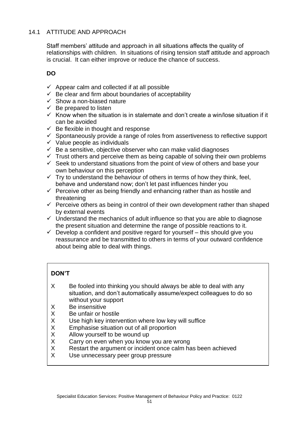# 14.1 ATTITUDE AND APPROACH

Staff members' attitude and approach in all situations affects the quality of relationships with children. In situations of rising tension staff attitude and approach is crucial. It can either improve or reduce the chance of success.

# **DO**

- $\checkmark$  Appear calm and collected if at all possible
- $\checkmark$  Be clear and firm about boundaries of acceptability
- $\checkmark$  Show a non-biased nature
- $\checkmark$  Be prepared to listen
- $\checkmark$  Know when the situation is in stalemate and don't create a win/lose situation if it can be avoided
- $\checkmark$  Be flexible in thought and response
- $\checkmark$  Spontaneously provide a range of roles from assertiveness to reflective support
- $\checkmark$  Value people as individuals
- $\checkmark$  Be a sensitive, objective observer who can make valid diagnoses
- $\checkmark$  Trust others and perceive them as being capable of solving their own problems
- $\checkmark$  Seek to understand situations from the point of view of others and base your own behaviour on this perception
- $\checkmark$  Try to understand the behaviour of others in terms of how they think, feel, behave and understand now; don't let past influences hinder you
- $\checkmark$  Perceive other as being friendly and enhancing rather than as hostile and threatening
- $\checkmark$  Perceive others as being in control of their own development rather than shaped by external events
- $\checkmark$  Understand the mechanics of adult influence so that you are able to diagnose the present situation and determine the range of possible reactions to it.
- $\checkmark$  Develop a confident and positive regard for yourself this should give you reassurance and be transmitted to others in terms of your outward confidence about being able to deal with things.

# **DON'T**

- X Be fooled into thinking you should always be able to deal with any situation, and don't automatically assume/expect colleagues to do so without your support
- X Be insensitive<br>X Be unfair or ho
- Be unfair or hostile
- X Use high key intervention where low key will suffice<br>X Emphasise situation out of all proportion
- X Emphasise situation out of all proportion<br>X Allow vourself to be wound up
- Allow yourself to be wound up
- X Carry on even when you know you are wrong<br>X Restart the argument or incident once calm ha
- Restart the argument or incident once calm has been achieved
- X Use unnecessary peer group pressure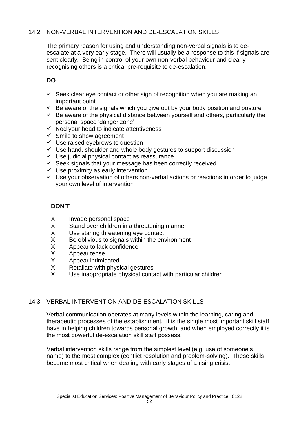# 14.2 NON-VERBAL INTERVENTION AND DE-ESCALATION SKILLS

The primary reason for using and understanding non-verbal signals is to deescalate at a very early stage. There will usually be a response to this if signals are sent clearly. Being in control of your own non-verbal behaviour and clearly recognising others is a critical pre-requisite to de-escalation.

# **DO**

- $\checkmark$  Seek clear eve contact or other sign of recognition when you are making an important point
- $\checkmark$  Be aware of the signals which you give out by your body position and posture
- $\checkmark$  Be aware of the physical distance between yourself and others, particularly the personal space 'danger zone'
- $\checkmark$  Nod your head to indicate attentiveness
- $\checkmark$  Smile to show agreement
- $\checkmark$  Use raised eyebrows to question
- $\checkmark$  Use hand, shoulder and whole body gestures to support discussion
- ✓ Use judicial physical contact as reassurance
- $\checkmark$  Seek signals that your message has been correctly received
- $\checkmark$  Use proximity as early intervention
- $\checkmark$  Use your observation of others non-verbal actions or reactions in order to judge your own level of intervention

# **DON'T**

- X Invade personal space
- X Stand over children in a threatening manner
- X Use staring threatening eye contact<br>
X Be oblivious to signals within the env
- X Be oblivious to signals within the environment<br>X Appear to lack confidence
- X Appear to lack confidence<br>X Appear tense
- X Appear tense<br>X Appear intimic
- X Appear intimidated
- X Retaliate with physical gestures
- X Use inappropriate physical contact with particular children

# 14.3 VERBAL INTERVENTION AND DE-ESCALATION SKILLS

Verbal communication operates at many levels within the learning, caring and therapeutic processes of the establishment. It is the single most important skill staff have in helping children towards personal growth, and when employed correctly it is the most powerful de-escalation skill staff possess.

Verbal intervention skills range from the simplest level (e.g. use of someone's name) to the most complex (conflict resolution and problem-solving). These skills become most critical when dealing with early stages of a rising crisis.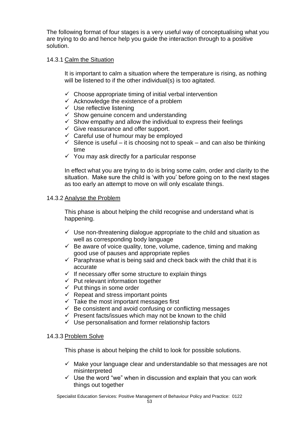The following format of four stages is a very useful way of conceptualising what you are trying to do and hence help you guide the interaction through to a positive solution.

## 14.3.1 Calm the Situation

It is important to calm a situation where the temperature is rising, as nothing will be listened to if the other individual(s) is too agitated.

- $\checkmark$  Choose appropriate timing of initial verbal intervention
- $\checkmark$  Acknowledge the existence of a problem
- $\checkmark$  Use reflective listening
- $\checkmark$  Show genuine concern and understanding
- $\checkmark$  Show empathy and allow the individual to express their feelings
- $\checkmark$  Give reassurance and offer support.
- $\checkmark$  Careful use of humour may be employed
- $\checkmark$  Silence is useful it is choosing not to speak and can also be thinking time
- $\checkmark$  You may ask directly for a particular response

In effect what you are trying to do is bring some calm, order and clarity to the situation. Make sure the child is 'with you' before going on to the next stages as too early an attempt to move on will only escalate things.

# 14.3.2 Analyse the Problem

This phase is about helping the child recognise and understand what is happening.

- $\checkmark$  Use non-threatening dialogue appropriate to the child and situation as well as corresponding body language
- $\checkmark$  Be aware of voice quality, tone, volume, cadence, timing and making good use of pauses and appropriate replies
- $\checkmark$  Paraphrase what is being said and check back with the child that it is accurate
- $\checkmark$  If necessary offer some structure to explain things
- $\checkmark$  Put relevant information together
- $\checkmark$  Put things in some order
- $\checkmark$  Repeat and stress important points
- $\checkmark$  Take the most important messages first
- $\checkmark$  Be consistent and avoid confusing or conflicting messages
- $\checkmark$  Present facts/issues which may not be known to the child
- ✓ Use personalisation and former relationship factors

## 14.3.3 Problem Solve

This phase is about helping the child to look for possible solutions.

- $\checkmark$  Make your language clear and understandable so that messages are not misinterpreted
- $\checkmark$  Use the word "we" when in discussion and explain that you can work things out together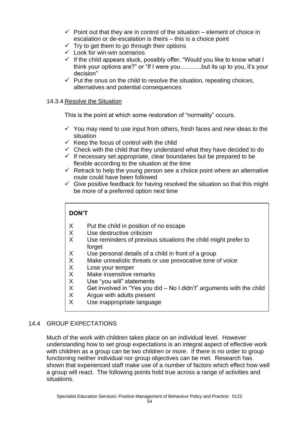- $\checkmark$  Point out that they are in control of the situation element of choice in escalation or de-escalation is theirs – this is a choice point
- $\checkmark$  Try to get them to go through their options
- $\checkmark$  Look for win-win scenarios
- $\checkmark$  If the child appears stuck, possibly offer, "Would you like to know what I think your options are?" or "If I were you………..but its up to you, it's your decision"
- $\checkmark$  Put the onus on the child to resolve the situation, repeating choices, alternatives and potential consequences

# 14.3.4 Resolve the Situation

This is the point at which some restoration of "normality" occurs.

- $\checkmark$  You may need to use input from others, fresh faces and new ideas to the situation
- $\checkmark$  Keep the focus of control with the child
- $\checkmark$  Check with the child that they understand what they have decided to do
- $\checkmark$  If necessary set appropriate, clear boundaries but be prepared to be flexible according to the situation at the time
- $\checkmark$  Retrack to help the young person see a choice point where an alternative route could have been followed
- $\checkmark$  Give positive feedback for having resolved the situation so that this might be more of a preferred option next time

# **DON'T**

- X Put the child in position of no escape
- X Use destructive criticism
- X Use reminders of previous situations the child might prefer to forget
- X Use personal details of a child in front of a group
- X Make unrealistic threats or use provocative tone of voice<br>X Lose vour temper
- Lose your temper
- X Make insensitive remarks
- X Use "you will" statements<br>X Get involved in "Yes you d
- Get involved in "Yes you did No I didn't" arguments with the child
- X Argue with adults present<br>X Use inappropriate languag
- Use inappropriate language

# 14.4 GROUP EXPECTATIONS

Much of the work with children takes place on an individual level. However understanding how to set group expectations is an integral aspect of effective work with children as a group can be two children or more. If there is no order to group functioning neither individual nor group objectives can be met. Research has shown that experienced staff make use of a number of factors which effect how well a group will react. The following points hold true across a range of activities and situations.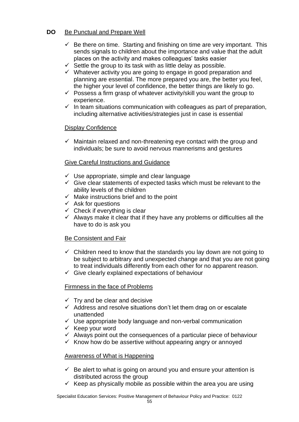# **DO** Be Punctual and Prepare Well

- $\checkmark$  Be there on time. Starting and finishing on time are very important. This sends signals to children about the importance and value that the adult places on the activity and makes colleagues' tasks easier
- $\checkmark$  Settle the group to its task with as little delay as possible.
- ✓ Whatever activity you are going to engage in good preparation and planning are essential. The more prepared you are, the better you feel, the higher your level of confidence, the better things are likely to go.
- $\checkmark$  Possess a firm grasp of whatever activity/skill you want the group to experience.
- $\checkmark$  In team situations communication with colleagues as part of preparation, including alternative activities/strategies just in case is essential

# Display Confidence

 $\checkmark$  Maintain relaxed and non-threatening eye contact with the group and individuals; be sure to avoid nervous mannerisms and gestures

# Give Careful Instructions and Guidance

- $\checkmark$  Use appropriate, simple and clear language
- $\checkmark$  Give clear statements of expected tasks which must be relevant to the ability levels of the children
- $\checkmark$  Make instructions brief and to the point
- $\checkmark$  Ask for questions
- $\checkmark$  Check if everything is clear
- $\checkmark$  Always make it clear that if they have any problems or difficulties all the have to do is ask you

## Be Consistent and Fair

- $\checkmark$  Children need to know that the standards you lay down are not going to be subject to arbitrary and unexpected change and that you are not going to treat individuals differently from each other for no apparent reason.
- $\checkmark$  Give clearly explained expectations of behaviour

## Firmness in the face of Problems

- $\checkmark$  Trv and be clear and decisive
- $\checkmark$  Address and resolve situations don't let them drag on or escalate unattended
- ✓ Use appropriate body language and non-verbal communication
- $\checkmark$  Keep your word
- $\checkmark$  Always point out the consequences of a particular piece of behaviour
- $\checkmark$  Know how do be assertive without appearing angry or annoyed

## Awareness of What is Happening

- $\checkmark$  Be alert to what is going on around you and ensure your attention is distributed across the group
- $\checkmark$  Keep as physically mobile as possible within the area you are using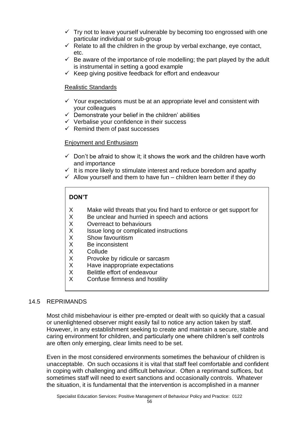- $\checkmark$  Trv not to leave yourself vulnerable by becoming too engrossed with one particular individual or sub-group
- $\checkmark$  Relate to all the children in the group by verbal exchange, eye contact, etc.
- $\checkmark$  Be aware of the importance of role modelling; the part played by the adult is instrumental in setting a good example
- $\checkmark$  Keep giving positive feedback for effort and endeavour

## Realistic Standards

- $\checkmark$  Your expectations must be at an appropriate level and consistent with your colleagues
- $\checkmark$  Demonstrate your belief in the children' abilities
- $\checkmark$  Verbalise your confidence in their success
- $\checkmark$  Remind them of past successes

# Enjoyment and Enthusiasm

- $\checkmark$  Don't be afraid to show it; it shows the work and the children have worth and importance
- $\checkmark$  It is more likely to stimulate interest and reduce boredom and apathy
- $\checkmark$  Allow yourself and them to have fun children learn better if they do

# **DON'T**

- X Make wild threats that you find hard to enforce or get support for
- X Be unclear and hurried in speech and actions<br>X Overreact to behaviours
- Overreact to behaviours
- X Issue long or complicated instructions
- X Show favouritism<br>X Be inconsistent
- Be inconsistent
- X Collude<br>X Provoke
- Provoke by ridicule or sarcasm
- X Have inappropriate expectations
- X Belittle effort of endeavour<br>X Confuse firmness and host
- Confuse firmness and hostility

## 14.5 REPRIMANDS

Most child misbehaviour is either pre-empted or dealt with so quickly that a casual or unenlightened observer might easily fail to notice any action taken by staff. However, in any establishment seeking to create and maintain a secure, stable and caring environment for children, and particularly one where children's self controls are often only emerging, clear limits need to be set.

Even in the most considered environments sometimes the behaviour of children is unacceptable. On such occasions it is vital that staff feel comfortable and confident in coping with challenging and difficult behaviour. Often a reprimand suffices, but sometimes staff will need to exert sanctions and occasionally controls. Whatever the situation, it is fundamental that the intervention is accomplished in a manner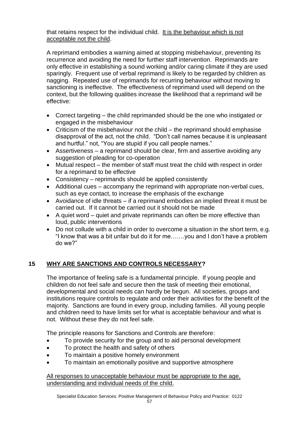that retains respect for the individual child. It is the behaviour which is not acceptable not the child.

A reprimand embodies a warning aimed at stopping misbehaviour, preventing its recurrence and avoiding the need for further staff intervention. Reprimands are only effective in establishing a sound working and/or caring climate if they are used sparingly. Frequent use of verbal reprimand is likely to be regarded by children as nagging. Repeated use of reprimands for recurring behaviour without moving to sanctioning is ineffective. The effectiveness of reprimand used will depend on the context, but the following qualities increase the likelihood that a reprimand will be effective:

- Correct targeting the child reprimanded should be the one who instigated or engaged in the misbehaviour
- Criticism of the misbehaviour not the child the reprimand should emphasise disapproval of the act, not the child. "Don't call names because it is unpleasant and hurtful." not, "You are stupid if you call people names."
- Assertiveness a reprimand should be clear, firm and assertive avoiding any suggestion of pleading for co-operation
- Mutual respect the member of staff must treat the child with respect in order for a reprimand to be effective
- Consistency reprimands should be applied consistently
- Additional cues accompany the reprimand with appropriate non-verbal cues, such as eye contact, to increase the emphasis of the exchange
- Avoidance of idle threats if a reprimand embodies an implied threat it must be carried out. If it cannot be carried out it should not be made
- A quiet word quiet and private reprimands can often be more effective than loud, public interventions
- Do not collude with a child in order to overcome a situation in the short term, e.g. "I know that was a bit unfair but do it for me…….you and I don't have a problem do we?"

# **15 WHY ARE SANCTIONS AND CONTROLS NECESSARY?**

The importance of feeling safe is a fundamental principle. If young people and children do not feel safe and secure then the task of meeting their emotional, developmental and social needs can hardly be begun. All societies, groups and institutions require controls to regulate and order their activities for the benefit of the majority. Sanctions are found in every group, including families. All young people and children need to have limits set for what is acceptable behaviour and what is not. Without these they do not feel safe.

The principle reasons for Sanctions and Controls are therefore:

- To provide security for the group and to aid personal development
- To protect the health and safety of others
- To maintain a positive homely environment
- To maintain an emotionally positive and supportive atmosphere

All responses to unacceptable behaviour must be appropriate to the age, understanding and individual needs of the child.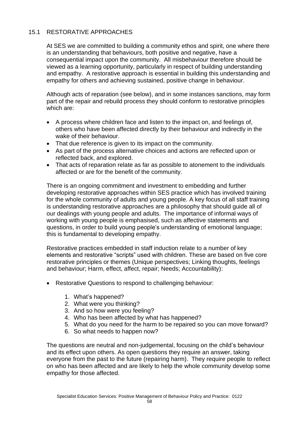# 15.1 RESTORATIVE APPROACHES

At SES we are committed to building a community ethos and spirit, one where there is an understanding that behaviours, both positive and negative, have a consequential impact upon the community. All misbehaviour therefore should be viewed as a learning opportunity, particularly in respect of building understanding and empathy. A restorative approach is essential in building this understanding and empathy for others and achieving sustained, positive change in behaviour.

Although acts of reparation (see below), and in some instances sanctions, may form part of the repair and rebuild process they should conform to restorative principles which are:

- A process where children face and listen to the impact on, and feelings of, others who have been affected directly by their behaviour and indirectly in the wake of their behaviour.
- That due reference is given to its impact on the community.
- As part of the process alternative choices and actions are reflected upon or reflected back, and explored.
- That acts of reparation relate as far as possible to atonement to the individuals affected or are for the benefit of the community.

There is an ongoing commitment and investment to embedding and further developing restorative approaches within SES practice which has involved training for the whole community of adults and young people. A key focus of all staff training is understanding restorative approaches are a philosophy that should guide all of our dealings with young people and adults. The importance of informal ways of working with young people is emphasised, such as affective statements and questions, in order to build young people's understanding of emotional language; this is fundamental to developing empathy.

Restorative practices embedded in staff induction relate to a number of key elements and restorative "scripts" used with children. These are based on five core restorative principles or themes (Unique perspectives; Linking thoughts, feelings and behaviour; Harm, effect, affect, repair; Needs; Accountability):

- Restorative Questions to respond to challenging behaviour:
	- 1. What's happened?
	- 2. What were you thinking?
	- 3. And so how were you feeling?
	- 4. Who has been affected by what has happened?
	- 5. What do you need for the harm to be repaired so you can move forward?
	- 6. So what needs to happen now?

The questions are neutral and non-judgemental, focusing on the child's behaviour and its effect upon others. As open questions they require an answer, taking everyone from the past to the future (repairing harm). They require people to reflect on who has been affected and are likely to help the whole community develop some empathy for those affected.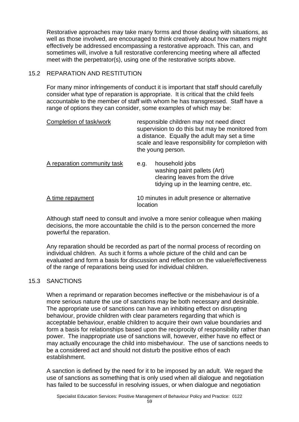Restorative approaches may take many forms and those dealing with situations, as well as those involved, are encouraged to think creatively about how matters might effectively be addressed encompassing a restorative approach. This can, and sometimes will, involve a full restorative conferencing meeting where all affected meet with the perpetrator(s), using one of the restorative scripts above.

# 15.2 REPARATION AND RESTITUTION

For many minor infringements of conduct it is important that staff should carefully consider what type of reparation is appropriate. It is critical that the child feels accountable to the member of staff with whom he has transgressed. Staff have a range of options they can consider, some examples of which may be:

| Completion of task/work     |          | responsible children may not need direct<br>supervision to do this but may be monitored from<br>a distance. Equally the adult may set a time<br>scale and leave responsibility for completion with<br>the young person. |
|-----------------------------|----------|-------------------------------------------------------------------------------------------------------------------------------------------------------------------------------------------------------------------------|
| A reparation community task | e.g.     | household jobs<br>washing paint pallets (Art)<br>clearing leaves from the drive<br>tidying up in the learning centre, etc.                                                                                              |
| A time repayment            | location | 10 minutes in adult presence or alternative                                                                                                                                                                             |

Although staff need to consult and involve a more senior colleague when making decisions, the more accountable the child is to the person concerned the more powerful the reparation.

Any reparation should be recorded as part of the normal process of recording on individual children. As such it forms a whole picture of the child and can be evaluated and form a basis for discussion and reflection on the value/effectiveness of the range of reparations being used for individual children.

## 15.3 SANCTIONS

When a reprimand or reparation becomes ineffective or the misbehaviour is of a more serious nature the use of sanctions may be both necessary and desirable. The appropriate use of sanctions can have an inhibiting effect on disrupting behaviour, provide children with clear parameters regarding that which is acceptable behaviour, enable children to acquire their own value boundaries and form a basis for relationships based upon the reciprocity of responsibility rather than power. The inappropriate use of sanctions will, however, either have no effect or may actually encourage the child into misbehaviour. The use of sanctions needs to be a considered act and should not disturb the positive ethos of each establishment.

A sanction is defined by the need for it to be imposed by an adult. We regard the use of sanctions as something that is only used when all dialogue and negotiation has failed to be successful in resolving issues, or when dialogue and negotiation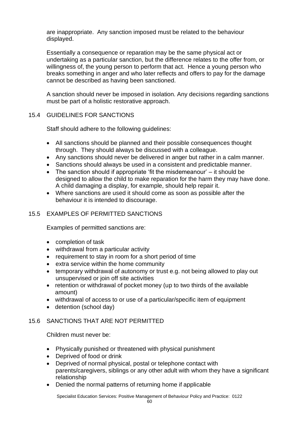are inappropriate. Any sanction imposed must be related to the behaviour displayed.

Essentially a consequence or reparation may be the same physical act or undertaking as a particular sanction, but the difference relates to the offer from, or willingness of, the young person to perform that act. Hence a young person who breaks something in anger and who later reflects and offers to pay for the damage cannot be described as having been sanctioned.

A sanction should never be imposed in isolation. Any decisions regarding sanctions must be part of a holistic restorative approach.

# 15.4 GUIDELINES FOR SANCTIONS

Staff should adhere to the following guidelines:

- All sanctions should be planned and their possible consequences thought through. They should always be discussed with a colleague.
- Any sanctions should never be delivered in anger but rather in a calm manner.
- Sanctions should always be used in a consistent and predictable manner.
- The sanction should if appropriate 'fit the misdemeanour' it should be designed to allow the child to make reparation for the harm they may have done. A child damaging a display, for example, should help repair it.
- Where sanctions are used it should come as soon as possible after the behaviour it is intended to discourage.

# 15.5 EXAMPLES OF PERMITTED SANCTIONS

Examples of permitted sanctions are:

- completion of task
- withdrawal from a particular activity
- requirement to stay in room for a short period of time
- extra service within the home community
- temporary withdrawal of autonomy or trust e.g. not being allowed to play out unsupervised or join off site activities
- retention or withdrawal of pocket money (up to two thirds of the available amount)
- withdrawal of access to or use of a particular/specific item of equipment
- detention (school day)

# 15.6 SANCTIONS THAT ARE NOT PERMITTED

Children must never be:

- Physically punished or threatened with physical punishment
- Deprived of food or drink
- Deprived of normal physical, postal or telephone contact with parents/caregivers, siblings or any other adult with whom they have a significant relationship
- Denied the normal patterns of returning home if applicable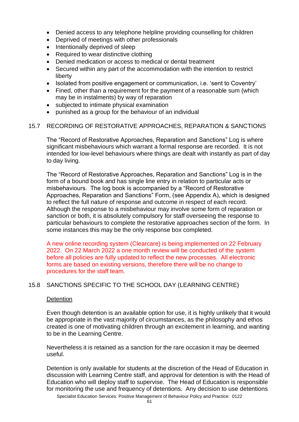- Denied access to any telephone helpline providing counselling for children
- Deprived of meetings with other professionals
- Intentionally deprived of sleep
- Required to wear distinctive clothing
- Denied medication or access to medical or dental treatment
- Secured within any part of the accommodation with the intention to restrict liberty
- Isolated from positive engagement or communication, i.e. 'sent to Coventry'
- Fined, other than a requirement for the payment of a reasonable sum (which may be in instalments) by way of reparation
- subjected to intimate physical examination
- punished as a group for the behaviour of an individual

## 15.7 RECORDING OF RESTORATIVE APPROACHES, REPARATION & SANCTIONS

The "Record of Restorative Approaches, Reparation and Sanctions" Log is where significant misbehaviours which warrant a formal response are recorded. It is not intended for low-level behaviours where things are dealt with instantly as part of day to day living.

The "Record of Restorative Approaches, Reparation and Sanctions" Log is in the form of a bound book and has single line entry in relation to particular acts or misbehaviours. The log book is accompanied by a "Record of Restorative Approaches, Reparation and Sanctions" Form, (see Appendix A), which is designed to reflect the full nature of response and outcome in respect of each record. Although the response to a misbehaviour may involve some form of reparation or sanction or both, it is absolutely compulsory for staff overseeing the response to particular behaviours to complete the restorative approaches section of the form. In some instances this may be the only response box completed.

A new online recording system (Clearcare) is being implemented on 22 February 2022. On 22 March 2022 a one month review will be conducted of the system before all policies are fully updated to reflect the new processes. All electronic forms are based on existing versions, therefore there will be no change to procedures for the staff team.

## 15.8 SANCTIONS SPECIFIC TO THE SCHOOL DAY (LEARNING CENTRE)

#### **Detention**

Even though detention is an available option for use, it is highly unlikely that it would be appropriate in the vast majority of circumstances, as the philosophy and ethos created is one of motivating children through an excitement in learning, and wanting to be in the Learning Centre.

Nevertheless it is retained as a sanction for the rare occasion it may be deemed useful.

Detention is only available for students at the discretion of the Head of Education in discussion with Learning Centre staff, and approval for detention is with the Head of Education who will deploy staff to supervise. The Head of Education is responsible for monitoring the use and frequency of detentions. Any decision to use detentions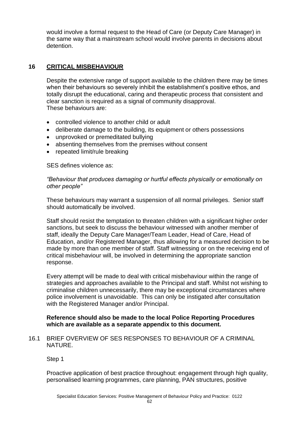would involve a formal request to the Head of Care (or Deputy Care Manager) in the same way that a mainstream school would involve parents in decisions about detention.

# **16 CRITICAL MISBEHAVIOUR**

Despite the extensive range of support available to the children there may be times when their behaviours so severely inhibit the establishment's positive ethos, and totally disrupt the educational, caring and therapeutic process that consistent and clear sanction is required as a signal of community disapproval. These behaviours are:

- controlled violence to another child or adult
- deliberate damage to the building, its equipment or others possessions
- unprovoked or premeditated bullying
- absenting themselves from the premises without consent
- repeated limit/rule breaking

SES defines violence as:

*"Behaviour that produces damaging or hurtful effects physically or emotionally on other people"*

These behaviours may warrant a suspension of all normal privileges. Senior staff should automatically be involved.

Staff should resist the temptation to threaten children with a significant higher order sanctions, but seek to discuss the behaviour witnessed with another member of staff, ideally the Deputy Care Manager/Team Leader, Head of Care, Head of Education, and/or Registered Manager, thus allowing for a measured decision to be made by more than one member of staff. Staff witnessing or on the receiving end of critical misbehaviour will, be involved in determining the appropriate sanction response.

Every attempt will be made to deal with critical misbehaviour within the range of strategies and approaches available to the Principal and staff. Whilst not wishing to criminalise children unnecessarily, there may be exceptional circumstances where police involvement is unavoidable. This can only be instigated after consultation with the Registered Manager and/or Principal.

## **Reference should also be made to the local Police Reporting Procedures which are available as a separate appendix to this document.**

16.1 BRIEF OVERVIEW OF SES RESPONSES TO BEHAVIOUR OF A CRIMINAL NATURE.

Step 1

Proactive application of best practice throughout: engagement through high quality, personalised learning programmes, care planning, PAN structures, positive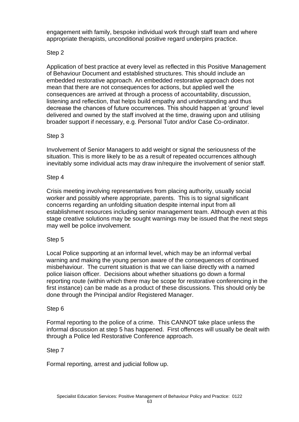engagement with family, bespoke individual work through staff team and where appropriate therapists, unconditional positive regard underpins practice.

# Step 2

Application of best practice at every level as reflected in this Positive Management of Behaviour Document and established structures. This should include an embedded restorative approach. An embedded restorative approach does not mean that there are not consequences for actions, but applied well the consequences are arrived at through a process of accountability, discussion, listening and reflection, that helps build empathy and understanding and thus decrease the chances of future occurrences. This should happen at 'ground' level delivered and owned by the staff involved at the time, drawing upon and utilising broader support if necessary, e.g. Personal Tutor and/or Case Co-ordinator.

## Step 3

Involvement of Senior Managers to add weight or signal the seriousness of the situation. This is more likely to be as a result of repeated occurrences although inevitably some individual acts may draw in/require the involvement of senior staff.

#### Step 4

Crisis meeting involving representatives from placing authority, usually social worker and possibly where appropriate, parents. This is to signal significant concerns regarding an unfolding situation despite internal input from all establishment resources including senior management team. Although even at this stage creative solutions may be sought warnings may be issued that the next steps may well be police involvement.

## Step 5

Local Police supporting at an informal level, which may be an informal verbal warning and making the young person aware of the consequences of continued misbehaviour. The current situation is that we can liaise directly with a named police liaison officer. Decisions about whether situations go down a formal reporting route (within which there may be scope for restorative conferencing in the first instance) can be made as a product of these discussions. This should only be done through the Principal and/or Registered Manager.

## Step 6

Formal reporting to the police of a crime. This CANNOT take place unless the informal discussion at step 5 has happened. First offences will usually be dealt with through a Police led Restorative Conference approach.

## Step 7

Formal reporting, arrest and judicial follow up.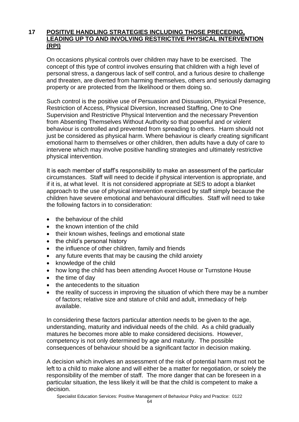# **17 POSITIVE HANDLING STRATEGIES INCLUDING THOSE PRECEDING, LEADING UP TO AND INVOLVING RESTRICTIVE PHYSICAL INTERVENTION (RPI)**

On occasions physical controls over children may have to be exercised. The concept of this type of control involves ensuring that children with a high level of personal stress, a dangerous lack of self control, and a furious desire to challenge and threaten, are diverted from harming themselves, others and seriously damaging property or are protected from the likelihood or them doing so.

Such control is the positive use of Persuasion and Dissuasion, Physical Presence, Restriction of Access, Physical Diversion, Increased Staffing, One to One Supervision and Restrictive Physical Intervention and the necessary Prevention from Absenting Themselves Without Authority so that powerful and or violent behaviour is controlled and prevented from spreading to others. Harm should not just be considered as physical harm. Where behaviour is clearly creating significant emotional harm to themselves or other children, then adults have a duty of care to intervene which may involve positive handling strategies and ultimately restrictive physical intervention.

It is each member of staff's responsibility to make an assessment of the particular circumstances. Staff will need to decide if physical intervention is appropriate, and if it is, at what level. It is not considered appropriate at SES to adopt a blanket approach to the use of physical intervention exercised by staff simply because the children have severe emotional and behavioural difficulties. Staff will need to take the following factors in to consideration:

- the behaviour of the child
- the known intention of the child
- their known wishes, feelings and emotional state
- the child's personal history
- the influence of other children, family and friends
- any future events that may be causing the child anxiety
- knowledge of the child
- how long the child has been attending Avocet House or Turnstone House
- the time of day
- the antecedents to the situation
- the reality of success in improving the situation of which there may be a number of factors; relative size and stature of child and adult, immediacy of help available.

In considering these factors particular attention needs to be given to the age, understanding, maturity and individual needs of the child. As a child gradually matures he becomes more able to make considered decisions. However, competency is not only determined by age and maturity. The possible consequences of behaviour should be a significant factor in decision making.

A decision which involves an assessment of the risk of potential harm must not be left to a child to make alone and will either be a matter for negotiation, or solely the responsibility of the member of staff. The more danger that can be foreseen in a particular situation, the less likely it will be that the child is competent to make a decision.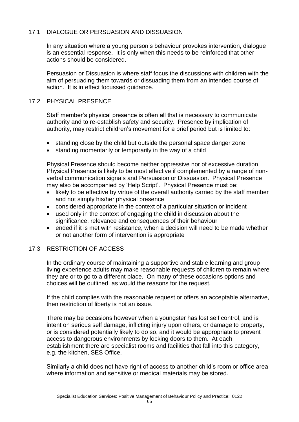# 17.1 DIALOGUE OR PERSUASION AND DISSUASION

In any situation where a young person's behaviour provokes intervention, dialogue is an essential response. It is only when this needs to be reinforced that other actions should be considered.

Persuasion or Dissuasion is where staff focus the discussions with children with the aim of persuading them towards or dissuading them from an intended course of action. It is in effect focussed guidance.

#### 17.2 PHYSICAL PRESENCE

Staff member's physical presence is often all that is necessary to communicate authority and to re-establish safety and security. Presence by implication of authority, may restrict children's movement for a brief period but is limited to:

- standing close by the child but outside the personal space danger zone
- standing momentarily or temporarily in the way of a child

Physical Presence should become neither oppressive nor of excessive duration. Physical Presence is likely to be most effective if complemented by a range of nonverbal communication signals and Persuasion or Dissuasion. Physical Presence may also be accompanied by 'Help Script'. Physical Presence must be:

- likely to be effective by virtue of the overall authority carried by the staff member and not simply his/her physical presence
- considered appropriate in the context of a particular situation or incident
- used only in the context of engaging the child in discussion about the significance, relevance and consequences of their behaviour
- ended if it is met with resistance, when a decision will need to be made whether or not another form of intervention is appropriate

## 17.3 RESTRICTION OF ACCESS

In the ordinary course of maintaining a supportive and stable learning and group living experience adults may make reasonable requests of children to remain where they are or to go to a different place. On many of these occasions options and choices will be outlined, as would the reasons for the request.

If the child complies with the reasonable request or offers an acceptable alternative, then restriction of liberty is not an issue.

There may be occasions however when a youngster has lost self control, and is intent on serious self damage, inflicting injury upon others, or damage to property, or is considered potentially likely to do so, and it would be appropriate to prevent access to dangerous environments by locking doors to them. At each establishment there are specialist rooms and facilities that fall into this category, e.g. the kitchen, SES Office.

Similarly a child does not have right of access to another child's room or office area where information and sensitive or medical materials may be stored.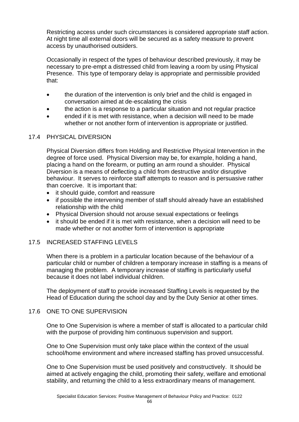Restricting access under such circumstances is considered appropriate staff action. At night time all external doors will be secured as a safety measure to prevent access by unauthorised outsiders.

Occasionally in respect of the types of behaviour described previously, it may be necessary to pre-empt a distressed child from leaving a room by using Physical Presence. This type of temporary delay is appropriate and permissible provided that:

- the duration of the intervention is only brief and the child is engaged in conversation aimed at de-escalating the crisis
- the action is a response to a particular situation and not regular practice
- ended if it is met with resistance, when a decision will need to be made whether or not another form of intervention is appropriate or justified.

# 17.4 PHYSICAL DIVERSION

Physical Diversion differs from Holding and Restrictive Physical Intervention in the degree of force used. Physical Diversion may be, for example, holding a hand, placing a hand on the forearm, or putting an arm round a shoulder. Physical Diversion is a means of deflecting a child from destructive and/or disruptive behaviour. It serves to reinforce staff attempts to reason and is persuasive rather than coercive. It is important that:

- it should guide, comfort and reassure
- if possible the intervening member of staff should already have an established relationship with the child
- Physical Diversion should not arouse sexual expectations or feelings
- it should be ended if it is met with resistance, when a decision will need to be made whether or not another form of intervention is appropriate

# 17.5 INCREASED STAFFING LEVELS

When there is a problem in a particular location because of the behaviour of a particular child or number of children a temporary increase in staffing is a means of managing the problem. A temporary increase of staffing is particularly useful because it does not label individual children.

The deployment of staff to provide increased Staffing Levels is requested by the Head of Education during the school day and by the Duty Senior at other times.

## 17.6 ONE TO ONE SUPERVISION

One to One Supervision is where a member of staff is allocated to a particular child with the purpose of providing him continuous supervision and support.

One to One Supervision must only take place within the context of the usual school/home environment and where increased staffing has proved unsuccessful.

One to One Supervision must be used positively and constructively. It should be aimed at actively engaging the child, promoting their safety, welfare and emotional stability, and returning the child to a less extraordinary means of management.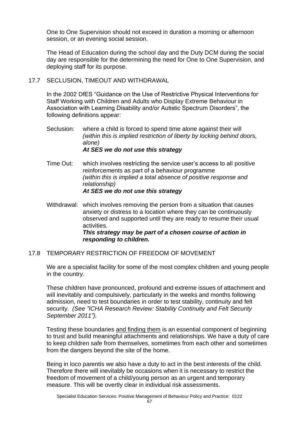One to One Supervision should not exceed in duration a morning or afternoon session, or an evening social session.

The Head of Education during the school day and the Duty DCM during the social day are responsible for the determining the need for One to One Supervision, and deploying staff for its purpose.

17.7 SECLUSION, TIMEOUT AND WITHDRAWAL

In the 2002 DfES "Guidance on the Use of Restrictive Physical Interventions for Staff Working with Children and Adults who Display Extreme Behaviour in Association with Learning Disability and/or Autistic Spectrum Disorders", the following definitions appear:

- Seclusion: where a child is forced to spend time alone against their will *(within this is implied restriction of liberty by locking behind doors, alone) At SES we do not use this strategy*
- Time Out: which involves restricting the service user's access to all positive reinforcements as part of a behaviour programme *(within this is implied a total absence of positive response and relationship) At SES we do not use this strategy*
- Withdrawal: which involves removing the person from a situation that causes anxiety or distress to a location where they can be continuously observed and supported until they are ready to resume their usual activities. *This strategy may be part of a chosen course of action in responding to children.*
- 17.8 TEMPORARY RESTRICTION OF FREEDOM OF MOVEMENT

We are a specialist facility for some of the most complex children and young people in the country.

These children have pronounced, profound and extreme issues of attachment and will inevitably and compulsively, particularly in the weeks and months following admission, need to test boundaries in order to test stability, continuity and felt security. *(See "ICHA Research Review: Stability Continuity and Felt Security September 2011").*

Testing these boundaries and finding them is an essential component of beginning to trust and build meaningful attachments and relationships. We have a duty of care to keep children safe from themselves, sometimes from each other and sometimes from the dangers beyond the site of the home.

Being in loco parentis we also have a duty to act in the best interests of the child. Therefore there will inevitably be occasions when it is necessary to restrict the freedom of movement of a child/young person as an urgent and temporary measure. This will be overtly clear in individual risk assessments.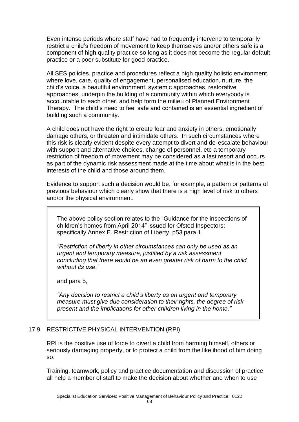Even intense periods where staff have had to frequently intervene to temporarily restrict a child's freedom of movement to keep themselves and/or others safe is a component of high quality practice so long as it does not become the regular default practice or a poor substitute for good practice.

All SES policies, practice and procedures reflect a high quality holistic environment, where love, care, quality of engagement, personalised education, nurture, the child's voice, a beautiful environment, systemic approaches, restorative approaches, underpin the building of a community within which everybody is accountable to each other, and help form the milieu of Planned Environment Therapy. The child's need to feel safe and contained is an essential ingredient of building such a community.

A child does not have the right to create fear and anxiety in others, emotionally damage others, or threaten and intimidate others. In such circumstances where this risk is clearly evident despite every attempt to divert and de-escalate behaviour with support and alternative choices, change of personnel, etc a temporary restriction of freedom of movement may be considered as a last resort and occurs as part of the dynamic risk assessment made at the time about what is in the best interests of the child and those around them.

Evidence to support such a decision would be, for example, a pattern or patterns of previous behaviour which clearly show that there is a high level of risk to others and/or the physical environment.

The above policy section relates to the "Guidance for the inspections of children's homes from April 2014" issued for Ofsted Inspectors; specifically Annex E. Restriction of Liberty, p53 para 1,

*"Restriction of liberty in other circumstances can only be used as an urgent and temporary measure, justified by a risk assessment concluding that there would be an even greater risk of harm to the child without its use."*

and para 5,

*"Any decision to restrict a child's liberty as an urgent and temporary measure must give due consideration to their rights, the degree of risk present and the implications for other children living in the home."*

## 17.9 RESTRICTIVE PHYSICAL INTERVENTION (RPI)

RPI is the positive use of force to divert a child from harming himself, others or seriously damaging property, or to protect a child from the likelihood of him doing so.

Training, teamwork, policy and practice documentation and discussion of practice all help a member of staff to make the decision about whether and when to use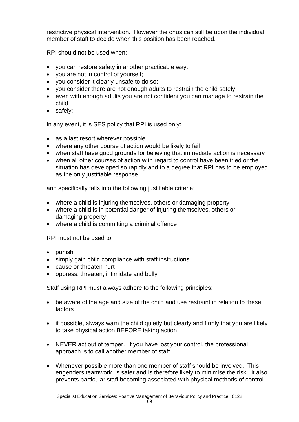restrictive physical intervention. However the onus can still be upon the individual member of staff to decide when this position has been reached.

RPI should not be used when:

- you can restore safety in another practicable way;
- you are not in control of yourself;
- you consider it clearly unsafe to do so;
- you consider there are not enough adults to restrain the child safely;
- even with enough adults you are not confident you can manage to restrain the child
- safely;

In any event, it is SES policy that RPI is used only:

- as a last resort wherever possible
- where any other course of action would be likely to fail
- when staff have good grounds for believing that immediate action is necessary
- when all other courses of action with regard to control have been tried or the situation has developed so rapidly and to a degree that RPI has to be employed as the only justifiable response

and specifically falls into the following justifiable criteria:

- where a child is injuring themselves, others or damaging property
- where a child is in potential danger of injuring themselves, others or damaging property
- where a child is committing a criminal offence

RPI must not be used to:

- punish
- simply gain child compliance with staff instructions
- cause or threaten hurt
- oppress, threaten, intimidate and bully

Staff using RPI must always adhere to the following principles:

- be aware of the age and size of the child and use restraint in relation to these factors
- if possible, always warn the child quietly but clearly and firmly that you are likely to take physical action BEFORE taking action
- NEVER act out of temper. If you have lost your control, the professional approach is to call another member of staff
- Whenever possible more than one member of staff should be involved. This engenders teamwork, is safer and is therefore likely to minimise the risk. It also prevents particular staff becoming associated with physical methods of control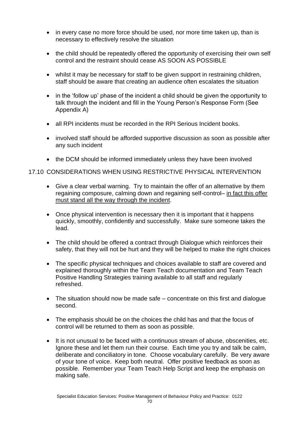- in every case no more force should be used, nor more time taken up, than is necessary to effectively resolve the situation
- the child should be repeatedly offered the opportunity of exercising their own self control and the restraint should cease AS SOON AS POSSIBLE
- whilst it may be necessary for staff to be given support in restraining children, staff should be aware that creating an audience often escalates the situation
- in the 'follow up' phase of the incident a child should be given the opportunity to talk through the incident and fill in the Young Person's Response Form (See Appendix A)
- all RPI incidents must be recorded in the RPI Serious Incident books.
- involved staff should be afforded supportive discussion as soon as possible after any such incident
- the DCM should be informed immediately unless they have been involved

# 17.10 CONSIDERATIONS WHEN USING RESTRICTIVE PHYSICAL INTERVENTION

- Give a clear verbal warning. Try to maintain the offer of an alternative by them regaining composure, calming down and regaining self-control- in fact this offer must stand all the way through the incident.
- Once physical intervention is necessary then it is important that it happens quickly, smoothly, confidently and successfully. Make sure someone takes the lead.
- The child should be offered a contract through Dialogue which reinforces their safety, that they will not be hurt and they will be helped to make the right choices
- The specific physical techniques and choices available to staff are covered and explained thoroughly within the Team Teach documentation and Team Teach Positive Handling Strategies training available to all staff and regularly refreshed.
- The situation should now be made safe concentrate on this first and dialogue second.
- The emphasis should be on the choices the child has and that the focus of control will be returned to them as soon as possible.
- It is not unusual to be faced with a continuous stream of abuse, obscenities, etc. Ignore these and let them run their course. Each time you try and talk be calm, deliberate and conciliatory in tone. Choose vocabulary carefully. Be very aware of your tone of voice. Keep both neutral. Offer positive feedback as soon as possible. Remember your Team Teach Help Script and keep the emphasis on making safe.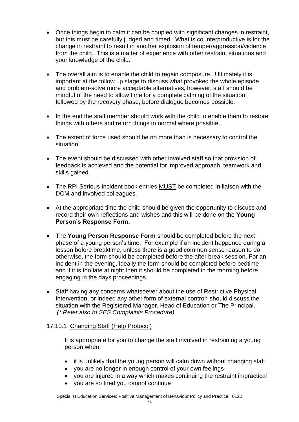- Once things begin to calm it can be coupled with significant changes in restraint, but this must be carefully judged and timed. What is counterproductive is for the change in restraint to result in another explosion of temper/aggression/violence from the child. This is a matter of experience with other restraint situations and your knowledge of the child.
- The overall aim is to enable the child to regain composure. Ultimately it is important at the follow up stage to discuss what provoked the whole episode and problem-solve more acceptable alternatives, however, staff should be mindful of the need to allow time for a complete calming of the situation, followed by the recovery phase, before dialogue becomes possible.
- In the end the staff member should work with the child to enable them to restore things with others and return things to normal where possible.
- The extent of force used should be no more than is necessary to control the situation.
- The event should be discussed with other involved staff so that provision of feedback is achieved and the potential for improved approach, teamwork and skills gained.
- The RPI Serious Incident book entries MUST be completed in liaison with the DCM and involved colleagues.
- At the appropriate time the child should be given the opportunity to discuss and record their own reflections and wishes and this will be done on the **Young Person's Response Form.**
- The **Young Person Response Form** should be completed before the next phase of a young person's time. For example if an incident happened during a lesson before breaktime, unless there is a good common sense reason to do otherwise, the form should be completed before the after break session. For an incident in the evening, ideally the form should be completed before bedtime and if it is too late at night then it should be completed in the morning before engaging in the days proceedings.
- Staff having any concerns whatsoever about the use of Restrictive Physical Intervention, or indeed any other form of external control\* should discuss the situation with the Registered Manager, Head of Education or The Principal.  *(\* Refer also to SES Complaints Procedure).*

# 17.10.1 Changing Staff (Help Protocol)

It is appropriate for you to change the staff involved in restraining a young person when:

- it is unlikely that the young person will calm down without changing staff
- you are no longer in enough control of your own feelings
- you are injured in a way which makes continuing the restraint impractical
- you are so tired you cannot continue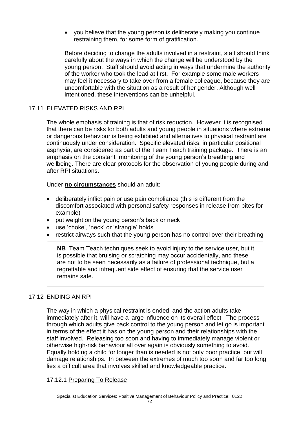• you believe that the young person is deliberately making you continue restraining them, for some form of gratification.

Before deciding to change the adults involved in a restraint, staff should think carefully about the ways in which the change will be understood by the young person. Staff should avoid acting in ways that undermine the authority of the worker who took the lead at first. For example some male workers may feel it necessary to take over from a female colleague, because they are uncomfortable with the situation as a result of her gender. Although well intentioned, these interventions can be unhelpful.

# 17.11 ELEVATED RISKS AND RPI

The whole emphasis of training is that of risk reduction. However it is recognised that there can be risks for both adults and young people in situations where extreme or dangerous behaviour is being exhibited and alternatives to physical restraint are continuously under consideration. Specific elevated risks, in particular positional asphyxia, are considered as part of the Team Teach training package. There is an emphasis on the constant monitoring of the young person's breathing and wellbeing. There are clear protocols for the observation of young people during and after RPI situations.

Under **no circumstances** should an adult:

- deliberately inflict pain or use pain compliance (this is different from the discomfort associated with personal safety responses in release from bites for example)
- put weight on the young person's back or neck
- use 'choke', 'neck' or 'strangle' holds
- restrict airways such that the young person has no control over their breathing

**NB** Team Teach techniques seek to avoid injury to the service user, but it is possible that bruising or scratching may occur accidentally, and these are not to be seen necessarily as a failure of professional technique, but a regrettable and infrequent side effect of ensuring that the service user remains safe.

## 17.12 ENDING AN RPI

The way in which a physical restraint is ended, and the action adults take immediately after it, will have a large influence on its overall effect. The process through which adults give back control to the young person and let go is important in terms of the effect it has on the young person and their relationships with the staff involved. Releasing too soon and having to immediately manage violent or otherwise high-risk behaviour all over again is obviously something to avoid. Equally holding a child for longer than is needed is not only poor practice, but will damage relationships. In between the extremes of much too soon and far too long lies a difficult area that involves skilled and knowledgeable practice.

## 17.12.1 Preparing To Release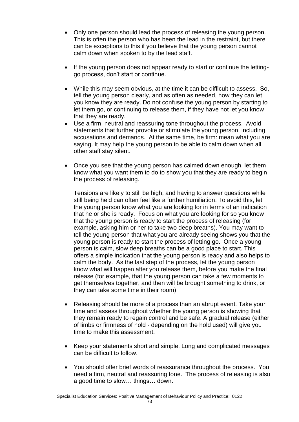- Only one person should lead the process of releasing the young person. This is often the person who has been the lead in the restraint, but there can be exceptions to this if you believe that the young person cannot calm down when spoken to by the lead staff.
- If the young person does not appear ready to start or continue the lettinggo process, don't start or continue.
- While this may seem obvious, at the time it can be difficult to assess. So, tell the young person clearly, and as often as needed, how they can let you know they are ready. Do not confuse the young person by starting to let them go, or continuing to release them, if they have not let you know that they are ready.
- Use a firm, neutral and reassuring tone throughout the process. Avoid statements that further provoke or stimulate the young person, including accusations and demands. At the same time, be firm: mean what you are saying. It may help the young person to be able to calm down when all other staff stay silent.
- Once you see that the young person has calmed down enough, let them know what you want them to do to show you that they are ready to begin the process of releasing.

Tensions are likely to still be high, and having to answer questions while still being held can often feel like a further humiliation. To avoid this, let the young person know what you are looking for in terms of an indication that he or she is ready. Focus on what you are looking for so you know that the young person is ready to start the process of releasing (for example, asking him or her to take two deep breaths). You may want to tell the young person that what you are already seeing shows you that the young person is ready to start the process of letting go. Once a young person is calm, slow deep breaths can be a good place to start. This offers a simple indication that the young person is ready and also helps to calm the body. As the last step of the process, let the young person know what will happen after you release them, before you make the final release (for example, that the young person can take a few moments to get themselves together, and then will be brought something to drink, or they can take some time in their room)

- Releasing should be more of a process than an abrupt event. Take your time and assess throughout whether the young person is showing that they remain ready to regain control and be safe. A gradual release (either of limbs or firmness of hold - depending on the hold used) will give you time to make this assessment.
- Keep your statements short and simple. Long and complicated messages can be difficult to follow.
- You should offer brief words of reassurance throughout the process. You need a firm, neutral and reassuring tone. The process of releasing is also a good time to slow… things… down.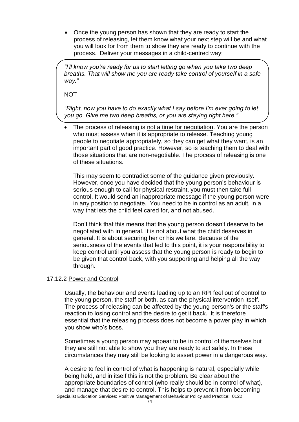• Once the young person has shown that they are ready to start the process of releasing, let them know what your next step will be and what you will look for from them to show they are ready to continue with the process. Deliver your messages in a child-centred way:

*"I'll know you're ready for us to start letting go when you take two deep breaths. That will show me you are ready take control of yourself in a safe way."*

**NOT** 

*"Right, now you have to do exactly what I say before I'm ever going to let you go. Give me two deep breaths, or you are staying right here."*

The process of releasing is not a time for negotiation. You are the person who must assess when it is appropriate to release. Teaching young people to negotiate appropriately, so they can get what they want, is an important part of good practice. However, so is teaching them to deal with those situations that are non-negotiable. The process of releasing is one of these situations.

This may seem to contradict some of the guidance given previously. However, once you have decided that the young person's behaviour is serious enough to call for physical restraint, you must then take full control. It would send an inappropriate message if the young person were in any position to negotiate. You need to be in control as an adult, in a way that lets the child feel cared for, and not abused.

Don't think that this means that the young person doesn't deserve to be negotiated with in general. It is not about what the child deserves in general. It is about securing her or his welfare. Because of the seriousness of the events that led to this point, it is your responsibility to keep control until you assess that the young person is ready to begin to be given that control back, with you supporting and helping all the way through.

## 17.12.2 Power and Control

Usually, the behaviour and events leading up to an RPI feel out of control to the young person, the staff or both, as can the physical intervention itself. The process of releasing can be affected by the young person's or the staff's reaction to losing control and the desire to get it back. It is therefore essential that the releasing process does not become a power play in which you show who's boss.

Sometimes a young person may appear to be in control of themselves but they are still not able to show you they are ready to act safely. In these circumstances they may still be looking to assert power in a dangerous way.

Specialist Education Services: Positive Management of Behaviour Policy and Practice: 0122 A desire to feel in control of what is happening is natural, especially while being held, and in itself this is not the problem. Be clear about the appropriate boundaries of control (who really should be in control of what), and manage that desire to control. This helps to prevent it from becoming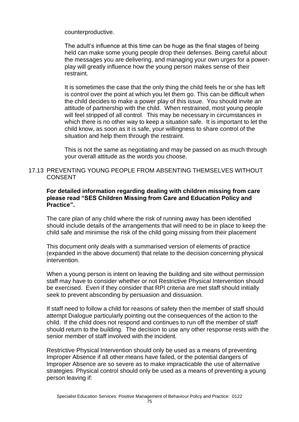counterproductive.

The adult's influence at this time can be huge as the final stages of being held can make some young people drop their defenses. Being careful about the messages you are delivering, and managing your own urges for a powerplay will greatly influence how the young person makes sense of their restraint.

It is sometimes the case that the only thing the child feels he or she has left is control over the point at which you let them go. This can be difficult when the child decides to make a power play of this issue. You should invite an attitude of partnership with the child. When restrained, most young people will feel stripped of all control. This may be necessary in circumstances in which there is no other way to keep a situation safe. It is important to let the child know, as soon as it is safe, your willingness to share control of the situation and help them through the restraint.

This is not the same as negotiating and may be passed on as much through your overall attitude as the words you choose.

## 17.13 PREVENTING YOUNG PEOPLE FROM ABSENTING THEMSELVES WITHOUT CONSENT

## **For detailed information regarding dealing with children missing from care please read "SES Children Missing from Care and Education Policy and Practice".**

The care plan of any child where the risk of running away has been identified should include details of the arrangements that will need to be in place to keep the child safe and minimise the risk of the child going missing from their placement

This document only deals with a summarised version of elements of practice (expanded in the above document) that relate to the decision concerning physical intervention.

When a young person is intent on leaving the building and site without permission staff may have to consider whether or not Restrictive Physical Intervention should be exercised. Even if they consider that RPI criteria are met staff should initially seek to prevent absconding by persuasion and dissuasion.

If staff need to follow a child for reasons of safety then the member of staff should attempt Dialogue particularly pointing out the consequences of the action to the child. If the child does not respond and continues to run off the member of staff should return to the building. The decision to use any other response rests with the senior member of staff involved with the incident.

Restrictive Physical Intervention should only be used as a means of preventing Improper Absence if all other means have failed, or the potential dangers of Improper Absence are so severe as to make impracticable the use of alternative strategies. Physical control should only be used as a means of preventing a young person leaving if: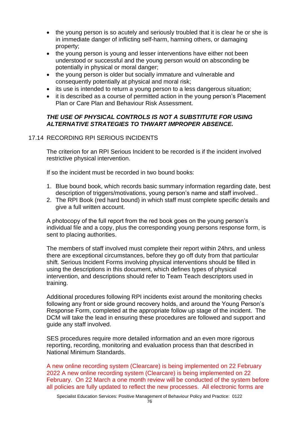- the young person is so acutely and seriously troubled that it is clear he or she is in immediate danger of inflicting self-harm, harming others, or damaging property;
- the young person is young and lesser interventions have either not been understood or successful and the young person would on absconding be potentially in physical or moral danger;
- the young person is older but socially immature and vulnerable and consequently potentially at physical and moral risk;
- its use is intended to return a young person to a less dangerous situation;
- it is described as a course of permitted action in the young person's Placement Plan or Care Plan and Behaviour Risk Assessment.

# *THE USE OF PHYSICAL CONTROLS IS NOT A SUBSTITUTE FOR USING ALTERNATIVE STRATEGIES TO THWART IMPROPER ABSENCE.*

# 17.14 RECORDING RPI SERIOUS INCIDENTS

The criterion for an RPI Serious Incident to be recorded is if the incident involved restrictive physical intervention.

If so the incident must be recorded in two bound books:

- 1. Blue bound book, which records basic summary information regarding date, best description of triggers/motivations, young person's name and staff involved..
- 2. The RPI Book (red hard bound) in which staff must complete specific details and give a full written account.

A photocopy of the full report from the red book goes on the young person's individual file and a copy, plus the corresponding young persons response form, is sent to placing authorities.

The members of staff involved must complete their report within 24hrs, and unless there are exceptional circumstances, before they go off duty from that particular shift. Serious Incident Forms involving physical interventions should be filled in using the descriptions in this document, which defines types of physical intervention, and descriptions should refer to Team Teach descriptors used in training.

Additional procedures following RPI incidents exist around the monitoring checks following any front or side ground recovery holds, and around the Young Person's Response Form, completed at the appropriate follow up stage of the incident. The DCM will take the lead in ensuring these procedures are followed and support and guide any staff involved.

SES procedures require more detailed information and an even more rigorous reporting, recording, monitoring and evaluation process than that described in National Minimum Standards.

A new online recording system (Clearcare) is being implemented on 22 February 2022 A new online recording system (Clearcare) is being implemented on 22 February. On 22 March a one month review will be conducted of the system before all policies are fully updated to reflect the new processes. All electronic forms are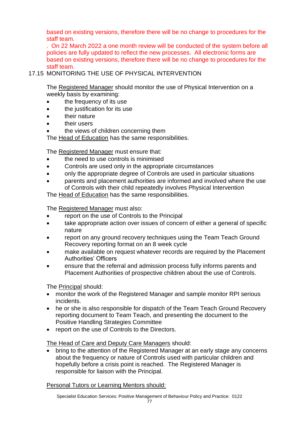based on existing versions, therefore there will be no change to procedures for the staff team.

. On 22 March 2022 a one month review will be conducted of the system before all policies are fully updated to reflect the new processes. All electronic forms are based on existing versions, therefore there will be no change to procedures for the staff team.

# 17.15 MONITORING THE USE OF PHYSICAL INTERVENTION

The Registered Manager should monitor the use of Physical Intervention on a weekly basis by examining:

- the frequency of its use
- the justification for its use
- their nature
- their users
- the views of children concerning them

The Head of Education has the same responsibilities.

The Registered Manager must ensure that:

- the need to use controls is minimised
- Controls are used only in the appropriate circumstances
- only the appropriate degree of Controls are used in particular situations
- parents and placement authorities are informed and involved where the use of Controls with their child repeatedly involves Physical Intervention

The Head of Education has the same responsibilities.

The Registered Manager must also:

- report on the use of Controls to the Principal
- take appropriate action over issues of concern of either a general of specific nature
- report on any ground recovery techniques using the Team Teach Ground Recovery reporting format on an 8 week cycle
- make available on request whatever records are required by the Placement Authorities' Officers
- ensure that the referral and admission process fully informs parents and Placement Authorities of prospective children about the use of Controls.

The Principal should:

- monitor the work of the Registered Manager and sample monitor RPI serious incidents.
- he or she is also responsible for dispatch of the Team Teach Ground Recovery reporting document to Team Teach, and presenting the document to the Positive Handling Strategies Committee
- report on the use of Controls to the Directors.

# The Head of Care and Deputy Care Managers should:

• bring to the attention of the Registered Manager at an early stage any concerns about the frequency or nature of Controls used with particular children and hopefully before a crisis point is reached. The Registered Manager is responsible for liaison with the Principal.

Personal Tutors or Learning Mentors should: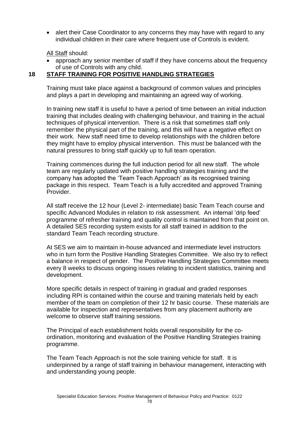• alert their Case Coordinator to any concerns they may have with regard to any individual children in their care where frequent use of Controls is evident.

All Staff should:

• approach any senior member of staff if they have concerns about the frequency of use of Controls with any child.

# **18 STAFF TRAINING FOR POSITIVE HANDLING STRATEGIES**

Training must take place against a background of common values and principles and plays a part in developing and maintaining an agreed way of working.

In training new staff it is useful to have a period of time between an initial induction training that includes dealing with challenging behaviour, and training in the actual techniques of physical intervention. There is a risk that sometimes staff only remember the physical part of the training, and this will have a negative effect on their work. New staff need time to develop relationships with the children before they might have to employ physical intervention. This must be balanced with the natural pressures to bring staff quickly up to full team operation.

Training commences during the full induction period for all new staff. The whole team are regularly updated with positive handling strategies training and the company has adopted the 'Team Teach Approach' as its recognised training package in this respect. Team Teach is a fully accredited and approved Training **Provider** 

All staff receive the 12 hour (Level 2- intermediate) basic Team Teach course and specific Advanced Modules in relation to risk assessment. An internal 'drip feed' programme of refresher training and quality control is maintained from that point on. A detailed SES recording system exists for all staff trained in addition to the standard Team Teach recording structure.

At SES we aim to maintain in-house advanced and intermediate level instructors who in turn form the Positive Handling Strategies Committee. We also try to reflect a balance in respect of gender. The Positive Handling Strategies Committee meets every 8 weeks to discuss ongoing issues relating to incident statistics, training and development.

More specific details in respect of training in gradual and graded responses including RPI is contained within the course and training materials held by each member of the team on completion of their 12 hr basic course. These materials are available for inspection and representatives from any placement authority are welcome to observe staff training sessions.

The Principal of each establishment holds overall responsibility for the coordination, monitoring and evaluation of the Positive Handling Strategies training programme.

The Team Teach Approach is not the sole training vehicle for staff. It is underpinned by a range of staff training in behaviour management, interacting with and understanding young people.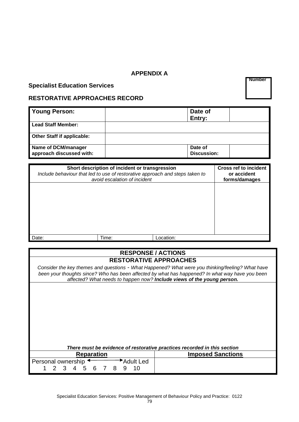## **APPENDIX A**

# **Specialist Education Services**

 **Number**

# **RESTORATIVE APPROACHES RECORD**

| <b>Young Person:</b>                            | Date of<br>Entry:      |  |
|-------------------------------------------------|------------------------|--|
| Lead Staff Member:                              |                        |  |
| Other Staff if applicable:                      |                        |  |
| Name of DCM/manager<br>approach discussed with: | Date of<br>Discussion: |  |

| Short description of incident or transgression<br>Include behaviour that led to use of restorative approach and steps taken to<br>avoid escalation of incident |       |           | <b>Cross ref to incident</b><br>or accident<br>forms/damages |
|----------------------------------------------------------------------------------------------------------------------------------------------------------------|-------|-----------|--------------------------------------------------------------|
|                                                                                                                                                                |       |           |                                                              |
|                                                                                                                                                                |       |           |                                                              |
|                                                                                                                                                                |       |           |                                                              |
| Date:                                                                                                                                                          | Time: | Location: |                                                              |

## **RESPONSE / ACTIONS RESTORATIVE APPROACHES**

*Consider the key themes and questions - What Happened? What were you thinking/feeling? What have been your thoughts since? Who has been affected by what has happened? In what way have you been affected? What needs to happen now? Include views of the young person.*

| There must be evidence of restorative practices recorded in this section |                          |
|--------------------------------------------------------------------------|--------------------------|
| <b>Reparation</b>                                                        | <b>Imposed Sanctions</b> |
| Adult Led<br>Personal ownership                                          |                          |
| 1 2 3 4 5 6 7 8 9 10                                                     |                          |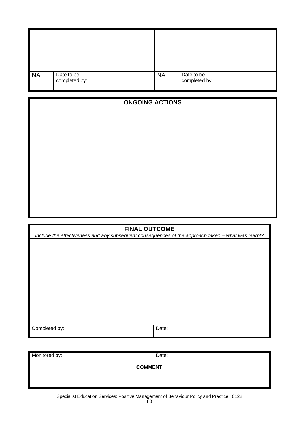| <b>NA</b> | Date to be<br>completed by: | <b>NA</b> | Date to be<br>completed by: |
|-----------|-----------------------------|-----------|-----------------------------|

# **ONGOING ACTIONS**

## **FINAL OUTCOME**

*Include the effectiveness and any subsequent consequences of the approach taken – what was learnt?*

| $\overline{\phantom{a}}$<br>. pv<br>e0<br>____ | $- - - - - -$ |
|------------------------------------------------|---------------|
|                                                |               |
|                                                |               |

| Monitored by:  | Date: |  |
|----------------|-------|--|
| <b>COMMENT</b> |       |  |
|                |       |  |
|                |       |  |
|                |       |  |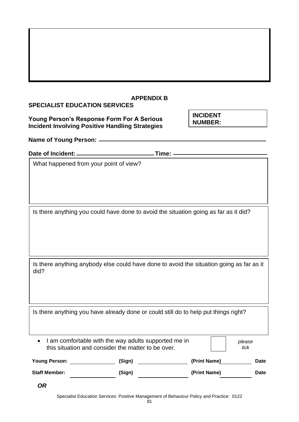| <b>APPENDIX B</b><br><b>SPECIALIST EDUCATION SERVICES</b>                                            |                                                                                                                                             |                                   |             |
|------------------------------------------------------------------------------------------------------|---------------------------------------------------------------------------------------------------------------------------------------------|-----------------------------------|-------------|
| Young Person's Response Form For A Serious<br><b>Incident Involving Positive Handling Strategies</b> |                                                                                                                                             | <b>INCIDENT</b><br><b>NUMBER:</b> |             |
|                                                                                                      |                                                                                                                                             |                                   |             |
|                                                                                                      |                                                                                                                                             |                                   |             |
| What happened from your point of view?                                                               |                                                                                                                                             |                                   |             |
|                                                                                                      | Is there anything you could have done to avoid the situation going as far as it did?                                                        |                                   |             |
| Is there anything anybody else could have done to avoid the situation going as far as it<br>did?     |                                                                                                                                             |                                   |             |
|                                                                                                      | Is there anything you have already done or could still do to help put things right?<br>I am comfortable with the way adults supported me in |                                   | please      |
|                                                                                                      | this situation and consider the matter to be over.                                                                                          |                                   | tick        |
| <b>Young Person:</b>                                                                                 | (Sign)                                                                                                                                      | (Print Name)                      | <b>Date</b> |
| <b>Staff Member:</b>                                                                                 | (Sign)                                                                                                                                      | (Print Name)                      | Date        |

Specialist Education Services: Positive Management of Behaviour Policy and Practice: 0122

*OR*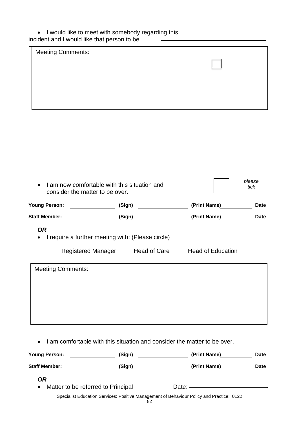## • I would like to meet with somebody regarding this incident and I would like that person to be

| <b>Meeting Comments:</b> |  |
|--------------------------|--|
|                          |  |
|                          |  |
|                          |  |
|                          |  |
|                          |  |

| I am now comfortable with this situation and<br>consider the matter to be over. |                    | please<br>tick                                                    |                          |             |
|---------------------------------------------------------------------------------|--------------------|-------------------------------------------------------------------|--------------------------|-------------|
| <b>Young Person:</b>                                                            |                    | (Sign)                                                            | (Print Name)             | <b>Date</b> |
| <b>Staff Member:</b>                                                            |                    | (Sign)                                                            | (Print Name)             | Date        |
| <b>OR</b>                                                                       | Registered Manager | I require a further meeting with: (Please circle)<br>Head of Care | <b>Head of Education</b> |             |
| <b>Meeting Comments:</b>                                                        |                    |                                                                   |                          |             |

• I am comfortable with this situation and consider the matter to be over.

| <b>Young Person:</b> | (Sign)                                                                                    | (Print Name) | <b>Date</b> |
|----------------------|-------------------------------------------------------------------------------------------|--------------|-------------|
| <b>Staff Member:</b> | (Sign)                                                                                    | (Print Name) | <b>Date</b> |
| OR                   |                                                                                           |              |             |
| $\bullet$            | Matter to be referred to Principal                                                        | Date: —————— |             |
|                      | Specialist Education Services: Positive Management of Behaviour Policy and Practice: 0122 |              |             |